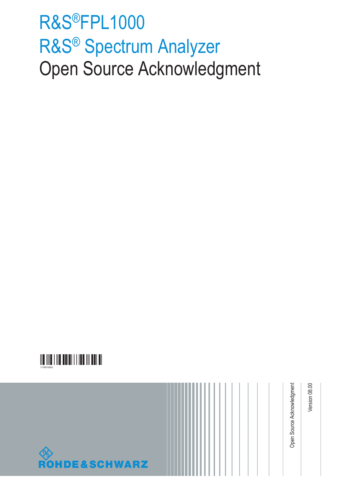# R&S®FPL1000 R&S® Spectrum Analyzer Open Source Acknowledgment



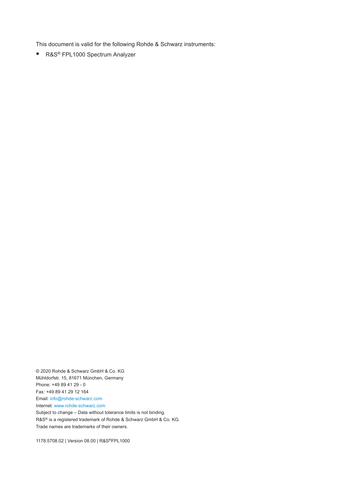This document is valid for the following Rohde & Schwarz instruments:

● R&S<sup>®</sup> FPL1000 Spectrum Analyzer

© 2020 Rohde & Schwarz GmbH & Co. KG Mühldorfstr. 15, 81671 München, Germany Phone: +49 89 41 29 - 0 Fax: +49 89 41 29 12 164 Email: [info@rohde-schwarz.com](mailto:info@rohde-schwarz.com) Internet: [www.rohde-schwarz.com](http://www.rohde-schwarz.com) Subject to change – Data without tolerance limits is not binding. R&S® is a registered trademark of Rohde & Schwarz GmbH & Co. KG.

Trade names are trademarks of their owners.

1178.5708.02 | Version 08.00 | R&S®FPL1000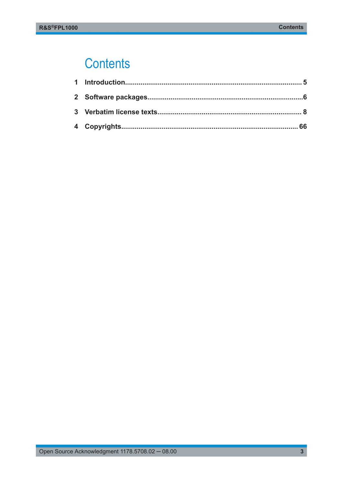## **Contents**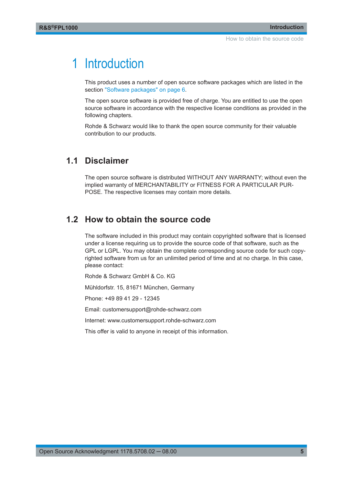## <span id="page-4-0"></span>1 Introduction

This product uses a number of open source software packages which are listed in the section ["Software packages" on page 6](#page-5-0).

The open source software is provided free of charge. You are entitled to use the open source software in accordance with the respective license conditions as provided in the following chapters.

Rohde & Schwarz would like to thank the open source community for their valuable contribution to our products.

## **1.1 Disclaimer**

The open source software is distributed WITHOUT ANY WARRANTY; without even the implied warranty of MERCHANTABILITY or FITNESS FOR A PARTICULAR PUR-POSE. The respective licenses may contain more details.

## **1.2 How to obtain the source code**

The software included in this product may contain copyrighted software that is licensed under a license requiring us to provide the source code of that software, such as the GPL or LGPL. You may obtain the complete corresponding source code for such copyrighted software from us for an unlimited period of time and at no charge. In this case, please contact:

Rohde & Schwarz GmbH & Co. KG

Mühldorfstr. 15, 81671 München, Germany

Phone: +49 89 41 29 - 12345

Email: customersupport@rohde-schwarz.com

Internet: www.customersupport.rohde-schwarz.com

This offer is valid to anyone in receipt of this information.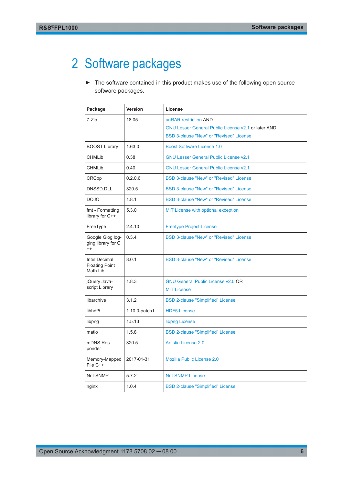## <span id="page-5-0"></span>2 Software packages

► The software contained in this product makes use of the following open source software packages.

| Package                                            | <b>Version</b> | License                                                    |
|----------------------------------------------------|----------------|------------------------------------------------------------|
| 7-Zip                                              | 18.05          | unRAR restriction AND                                      |
|                                                    |                | <b>GNU Lesser General Public License v2.1 or later AND</b> |
|                                                    |                | BSD 3-clause "New" or "Revised" License                    |
| <b>BOOST Library</b>                               | 1.63.0         | Boost Software License 1.0                                 |
| <b>CHMLib</b>                                      | 0.38           | <b>GNU Lesser General Public License v2.1</b>              |
| <b>CHMLib</b>                                      | 0.40           | <b>GNU Lesser General Public License v2.1</b>              |
| <b>CRCpp</b>                                       | 0.2.0.6        | BSD 3-clause "New" or "Revised" License                    |
| DNSSD.DLL                                          | 320.5          | <b>BSD 3-clause "New" or "Revised" License</b>             |
| <b>DOJO</b>                                        | 1.8.1          | <b>BSD 3-clause "New" or "Revised" License</b>             |
| fmt - Formatting<br>library for C++                | 5.3.0          | MIT License with optional exception                        |
| FreeType                                           | 2.4.10         | <b>Freetype Project License</b>                            |
| Google Glog log-<br>ging library for C<br>$^{++}$  | 0.3.4          | BSD 3-clause "New" or "Revised" License                    |
| Intel Decimal<br><b>Floating Point</b><br>Math Lib | 8.0.1          | BSD 3-clause "New" or "Revised" License                    |
| jQuery Java-                                       | 1.8.3          | <b>GNU General Public License v2.0 OR</b>                  |
| script Library                                     |                | <b>MIT License</b>                                         |
| libarchive                                         | 3.1.2          | <b>BSD 2-clause "Simplified" License</b>                   |
| libhdf5                                            | 1.10.0-patch1  | <b>HDF5 License</b>                                        |
| libpng                                             | 1.5.13         | libpng License                                             |
| matio                                              | 1.5.8          | <b>BSD 2-clause "Simplified" License</b>                   |
| mDNS Res-<br>ponder                                | 320.5          | <b>Artistic License 2.0</b>                                |
| Memory-Mapped<br>File C++                          | 2017-01-31     | Mozilla Public License 2.0                                 |
| Net-SNMP                                           | 5.7.2          | <b>Net-SNMP License</b>                                    |
| nginx                                              | 1.0.4          | <b>BSD 2-clause "Simplified" License</b>                   |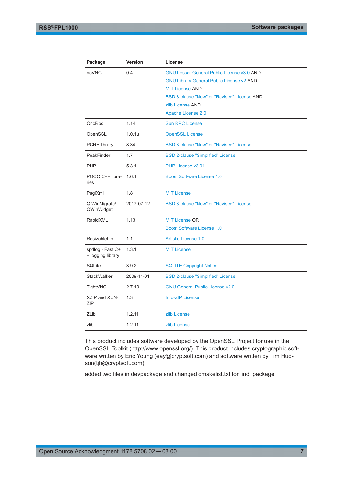| Package                               | <b>Version</b> | License                                                                                                                                                                                                                  |
|---------------------------------------|----------------|--------------------------------------------------------------------------------------------------------------------------------------------------------------------------------------------------------------------------|
| noVNC                                 | 0.4            | <b>GNU Lesser General Public License v3.0 AND</b><br><b>GNU Library General Public License v2 AND</b><br><b>MIT License AND</b><br>BSD 3-clause "New" or "Revised" License AND<br>zlib License AND<br>Apache License 2.0 |
| OncRpc                                | 1.14           | <b>Sun RPC License</b>                                                                                                                                                                                                   |
| OpenSSL                               | 1.0.1u         | <b>OpenSSL License</b>                                                                                                                                                                                                   |
| PCRE library                          | 8.34           | <b>BSD 3-clause "New" or "Revised" License</b>                                                                                                                                                                           |
| PeakFinder                            | 1.7            | <b>BSD 2-clause "Simplified" License</b>                                                                                                                                                                                 |
| <b>PHP</b>                            | 5.3.1          | PHP License v3.01                                                                                                                                                                                                        |
| POCO C++ libra-<br>ries               | 1.6.1          | Boost Software License 1.0                                                                                                                                                                                               |
| PugiXml                               | 1.8            | <b>MIT License</b>                                                                                                                                                                                                       |
| QtWinMigrate/<br>QWinWidget           | 2017-07-12     | BSD 3-clause "New" or "Revised" License                                                                                                                                                                                  |
| RapidXML                              | 1.13           | <b>MIT License OR</b><br><b>Boost Software License 1.0</b>                                                                                                                                                               |
| ResizableLib                          | 1.1            | <b>Artistic License 1.0</b>                                                                                                                                                                                              |
| spdlog - Fast C+<br>+ logging library | 1.3.1          | <b>MIT License</b>                                                                                                                                                                                                       |
| <b>SQLite</b>                         | 3.9.2          | <b>SQLITE Copyright Notice</b>                                                                                                                                                                                           |
| <b>StackWalker</b>                    | 2009-11-01     | <b>BSD 2-clause "Simplified" License</b>                                                                                                                                                                                 |
| TightVNC                              | 2.7.10         | <b>GNU General Public License v2.0</b>                                                                                                                                                                                   |
| XZIP and XUN-<br>ZIP                  | 1.3            | Info-ZIP License                                                                                                                                                                                                         |
| ZLib                                  | 1.2.11         | zlib License                                                                                                                                                                                                             |
| zlib                                  | 1.2.11         | zlib License                                                                                                                                                                                                             |

This product includes software developed by the OpenSSL Project for use in the OpenSSL Toolkit (http://www.openssl.org/). This product includes cryptographic software written by Eric Young (eay@cryptsoft.com) and software written by Tim Hudson(tjh@cryptsoft.com).

added two files in devpackage and changed cmakelist.txt for find\_package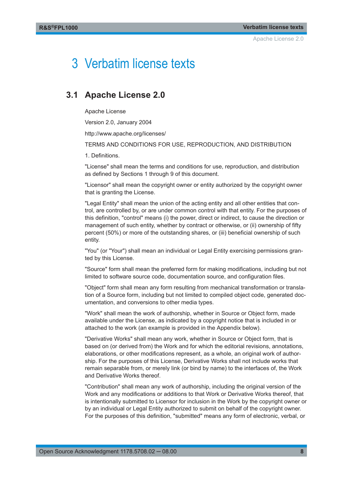## <span id="page-7-0"></span>3 Verbatim license texts

## **3.1 Apache License 2.0**

Apache License

Version 2.0, January 2004

http://www.apache.org/licenses/

TERMS AND CONDITIONS FOR USE, REPRODUCTION, AND DISTRIBUTION

1. Definitions.

"License" shall mean the terms and conditions for use, reproduction, and distribution as defined by Sections 1 through 9 of this document.

"Licensor" shall mean the copyright owner or entity authorized by the copyright owner that is granting the License.

"Legal Entity" shall mean the union of the acting entity and all other entities that control, are controlled by, or are under common control with that entity. For the purposes of this definition, "control" means (i) the power, direct or indirect, to cause the direction or management of such entity, whether by contract or otherwise, or (ii) ownership of fifty percent (50%) or more of the outstanding shares, or (iii) beneficial ownership of such entity.

"You" (or "Your") shall mean an individual or Legal Entity exercising permissions granted by this License.

"Source" form shall mean the preferred form for making modifications, including but not limited to software source code, documentation source, and configuration files.

"Object" form shall mean any form resulting from mechanical transformation or translation of a Source form, including but not limited to compiled object code, generated documentation, and conversions to other media types.

"Work" shall mean the work of authorship, whether in Source or Object form, made available under the License, as indicated by a copyright notice that is included in or attached to the work (an example is provided in the Appendix below).

"Derivative Works" shall mean any work, whether in Source or Object form, that is based on (or derived from) the Work and for which the editorial revisions, annotations, elaborations, or other modifications represent, as a whole, an original work of authorship. For the purposes of this License, Derivative Works shall not include works that remain separable from, or merely link (or bind by name) to the interfaces of, the Work and Derivative Works thereof.

"Contribution" shall mean any work of authorship, including the original version of the Work and any modifications or additions to that Work or Derivative Works thereof, that is intentionally submitted to Licensor for inclusion in the Work by the copyright owner or by an individual or Legal Entity authorized to submit on behalf of the copyright owner. For the purposes of this definition, "submitted" means any form of electronic, verbal, or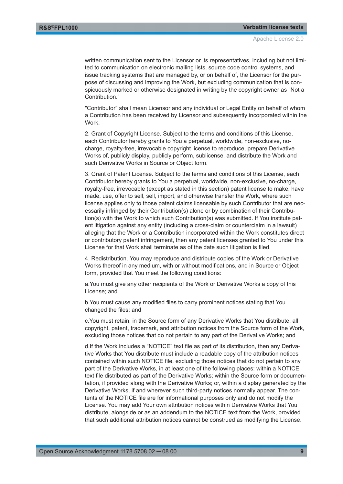written communication sent to the Licensor or its representatives, including but not limited to communication on electronic mailing lists, source code control systems, and issue tracking systems that are managed by, or on behalf of, the Licensor for the purpose of discussing and improving the Work, but excluding communication that is conspicuously marked or otherwise designated in writing by the copyright owner as "Not a Contribution."

"Contributor" shall mean Licensor and any individual or Legal Entity on behalf of whom a Contribution has been received by Licensor and subsequently incorporated within the Work.

2. Grant of Copyright License. Subject to the terms and conditions of this License, each Contributor hereby grants to You a perpetual, worldwide, non-exclusive, nocharge, royalty-free, irrevocable copyright license to reproduce, prepare Derivative Works of, publicly display, publicly perform, sublicense, and distribute the Work and such Derivative Works in Source or Object form.

3. Grant of Patent License. Subject to the terms and conditions of this License, each Contributor hereby grants to You a perpetual, worldwide, non-exclusive, no-charge, royalty-free, irrevocable (except as stated in this section) patent license to make, have made, use, offer to sell, sell, import, and otherwise transfer the Work, where such license applies only to those patent claims licensable by such Contributor that are necessarily infringed by their Contribution(s) alone or by combination of their Contribution(s) with the Work to which such Contribution(s) was submitted. If You institute patent litigation against any entity (including a cross-claim or counterclaim in a lawsuit) alleging that the Work or a Contribution incorporated within the Work constitutes direct or contributory patent infringement, then any patent licenses granted to You under this License for that Work shall terminate as of the date such litigation is filed.

4. Redistribution. You may reproduce and distribute copies of the Work or Derivative Works thereof in any medium, with or without modifications, and in Source or Object form, provided that You meet the following conditions:

a.You must give any other recipients of the Work or Derivative Works a copy of this License; and

b.You must cause any modified files to carry prominent notices stating that You changed the files; and

c.You must retain, in the Source form of any Derivative Works that You distribute, all copyright, patent, trademark, and attribution notices from the Source form of the Work, excluding those notices that do not pertain to any part of the Derivative Works; and

d.If the Work includes a "NOTICE" text file as part of its distribution, then any Derivative Works that You distribute must include a readable copy of the attribution notices contained within such NOTICE file, excluding those notices that do not pertain to any part of the Derivative Works, in at least one of the following places: within a NOTICE text file distributed as part of the Derivative Works; within the Source form or documentation, if provided along with the Derivative Works; or, within a display generated by the Derivative Works, if and wherever such third-party notices normally appear. The contents of the NOTICE file are for informational purposes only and do not modify the License. You may add Your own attribution notices within Derivative Works that You distribute, alongside or as an addendum to the NOTICE text from the Work, provided that such additional attribution notices cannot be construed as modifying the License.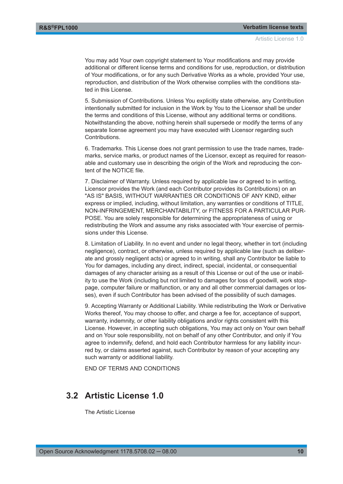<span id="page-9-0"></span>You may add Your own copyright statement to Your modifications and may provide additional or different license terms and conditions for use, reproduction, or distribution of Your modifications, or for any such Derivative Works as a whole, provided Your use, reproduction, and distribution of the Work otherwise complies with the conditions stated in this License.

5. Submission of Contributions. Unless You explicitly state otherwise, any Contribution intentionally submitted for inclusion in the Work by You to the Licensor shall be under the terms and conditions of this License, without any additional terms or conditions. Notwithstanding the above, nothing herein shall supersede or modify the terms of any separate license agreement you may have executed with Licensor regarding such Contributions.

6. Trademarks. This License does not grant permission to use the trade names, trademarks, service marks, or product names of the Licensor, except as required for reasonable and customary use in describing the origin of the Work and reproducing the content of the NOTICE file.

7. Disclaimer of Warranty. Unless required by applicable law or agreed to in writing, Licensor provides the Work (and each Contributor provides its Contributions) on an "AS IS" BASIS, WITHOUT WARRANTIES OR CONDITIONS OF ANY KIND, either express or implied, including, without limitation, any warranties or conditions of TITLE, NON-INFRINGEMENT, MERCHANTABILITY, or FITNESS FOR A PARTICULAR PUR-POSE. You are solely responsible for determining the appropriateness of using or redistributing the Work and assume any risks associated with Your exercise of permissions under this License.

8. Limitation of Liability. In no event and under no legal theory, whether in tort (including negligence), contract, or otherwise, unless required by applicable law (such as deliberate and grossly negligent acts) or agreed to in writing, shall any Contributor be liable to You for damages, including any direct, indirect, special, incidental, or consequential damages of any character arising as a result of this License or out of the use or inability to use the Work (including but not limited to damages for loss of goodwill, work stoppage, computer failure or malfunction, or any and all other commercial damages or losses), even if such Contributor has been advised of the possibility of such damages.

9. Accepting Warranty or Additional Liability. While redistributing the Work or Derivative Works thereof, You may choose to offer, and charge a fee for, acceptance of support, warranty, indemnity, or other liability obligations and/or rights consistent with this License. However, in accepting such obligations, You may act only on Your own behalf and on Your sole responsibility, not on behalf of any other Contributor, and only if You agree to indemnify, defend, and hold each Contributor harmless for any liability incurred by, or claims asserted against, such Contributor by reason of your accepting any such warranty or additional liability.

END OF TERMS AND CONDITIONS

## **3.2 Artistic License 1.0**

The Artistic License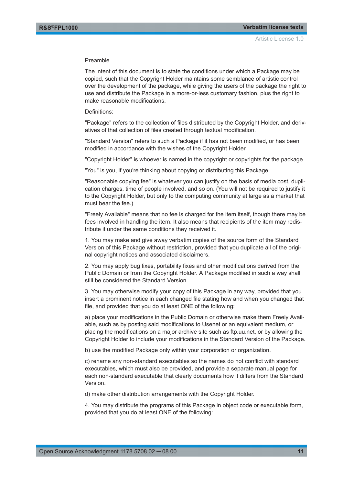#### Preamble

The intent of this document is to state the conditions under which a Package may be copied, such that the Copyright Holder maintains some semblance of artistic control over the development of the package, while giving the users of the package the right to use and distribute the Package in a more-or-less customary fashion, plus the right to make reasonable modifications.

#### Definitions:

"Package" refers to the collection of files distributed by the Copyright Holder, and derivatives of that collection of files created through textual modification.

"Standard Version" refers to such a Package if it has not been modified, or has been modified in accordance with the wishes of the Copyright Holder.

"Copyright Holder" is whoever is named in the copyright or copyrights for the package.

"You" is you, if you're thinking about copying or distributing this Package.

"Reasonable copying fee" is whatever you can justify on the basis of media cost, duplication charges, time of people involved, and so on. (You will not be required to justify it to the Copyright Holder, but only to the computing community at large as a market that must bear the fee.)

"Freely Available" means that no fee is charged for the item itself, though there may be fees involved in handling the item. It also means that recipients of the item may redistribute it under the same conditions they received it.

1. You may make and give away verbatim copies of the source form of the Standard Version of this Package without restriction, provided that you duplicate all of the original copyright notices and associated disclaimers.

2. You may apply bug fixes, portability fixes and other modifications derived from the Public Domain or from the Copyright Holder. A Package modified in such a way shall still be considered the Standard Version.

3. You may otherwise modify your copy of this Package in any way, provided that you insert a prominent notice in each changed file stating how and when you changed that file, and provided that you do at least ONE of the following:

a) place your modifications in the Public Domain or otherwise make them Freely Available, such as by posting said modifications to Usenet or an equivalent medium, or placing the modifications on a major archive site such as ftp.uu.net, or by allowing the Copyright Holder to include your modifications in the Standard Version of the Package.

b) use the modified Package only within your corporation or organization.

c) rename any non-standard executables so the names do not conflict with standard executables, which must also be provided, and provide a separate manual page for each non-standard executable that clearly documents how it differs from the Standard Version.

d) make other distribution arrangements with the Copyright Holder.

4. You may distribute the programs of this Package in object code or executable form, provided that you do at least ONE of the following: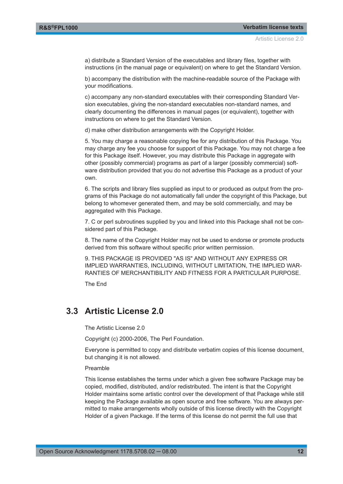<span id="page-11-0"></span>a) distribute a Standard Version of the executables and library files, together with instructions (in the manual page or equivalent) on where to get the Standard Version.

b) accompany the distribution with the machine-readable source of the Package with your modifications.

c) accompany any non-standard executables with their corresponding Standard Version executables, giving the non-standard executables non-standard names, and clearly documenting the differences in manual pages (or equivalent), together with instructions on where to get the Standard Version.

d) make other distribution arrangements with the Copyright Holder.

5. You may charge a reasonable copying fee for any distribution of this Package. You may charge any fee you choose for support of this Package. You may not charge a fee for this Package itself. However, you may distribute this Package in aggregate with other (possibly commercial) programs as part of a larger (possibly commercial) software distribution provided that you do not advertise this Package as a product of your own.

6. The scripts and library files supplied as input to or produced as output from the programs of this Package do not automatically fall under the copyright of this Package, but belong to whomever generated them, and may be sold commercially, and may be aggregated with this Package.

7. C or perl subroutines supplied by you and linked into this Package shall not be considered part of this Package.

8. The name of the Copyright Holder may not be used to endorse or promote products derived from this software without specific prior written permission.

9. THIS PACKAGE IS PROVIDED "AS IS" AND WITHOUT ANY EXPRESS OR IMPLIED WARRANTIES, INCLUDING, WITHOUT LIMITATION, THE IMPLIED WAR-RANTIES OF MERCHANTIBILITY AND FITNESS FOR A PARTICULAR PURPOSE.

The End

## **3.3 Artistic License 2.0**

The Artistic License 2.0

Copyright (c) 2000-2006, The Perl Foundation.

Everyone is permitted to copy and distribute verbatim copies of this license document, but changing it is not allowed.

Preamble

This license establishes the terms under which a given free software Package may be copied, modified, distributed, and/or redistributed. The intent is that the Copyright Holder maintains some artistic control over the development of that Package while still keeping the Package available as open source and free software. You are always permitted to make arrangements wholly outside of this license directly with the Copyright Holder of a given Package. If the terms of this license do not permit the full use that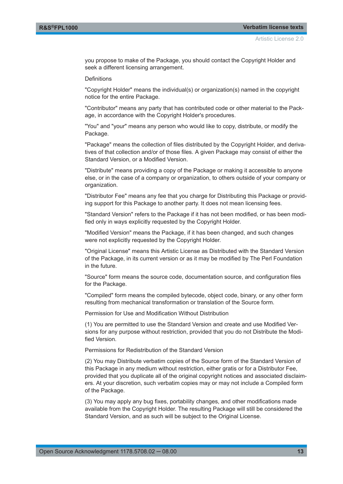you propose to make of the Package, you should contact the Copyright Holder and seek a different licensing arrangement.

Definitions

"Copyright Holder" means the individual(s) or organization(s) named in the copyright notice for the entire Package.

"Contributor" means any party that has contributed code or other material to the Package, in accordance with the Copyright Holder's procedures.

"You" and "your" means any person who would like to copy, distribute, or modify the Package.

"Package" means the collection of files distributed by the Copyright Holder, and derivatives of that collection and/or of those files. A given Package may consist of either the Standard Version, or a Modified Version.

"Distribute" means providing a copy of the Package or making it accessible to anyone else, or in the case of a company or organization, to others outside of your company or organization.

"Distributor Fee" means any fee that you charge for Distributing this Package or providing support for this Package to another party. It does not mean licensing fees.

"Standard Version" refers to the Package if it has not been modified, or has been modified only in ways explicitly requested by the Copyright Holder.

"Modified Version" means the Package, if it has been changed, and such changes were not explicitly requested by the Copyright Holder.

"Original License" means this Artistic License as Distributed with the Standard Version of the Package, in its current version or as it may be modified by The Perl Foundation in the future.

"Source" form means the source code, documentation source, and configuration files for the Package.

"Compiled" form means the compiled bytecode, object code, binary, or any other form resulting from mechanical transformation or translation of the Source form.

Permission for Use and Modification Without Distribution

(1) You are permitted to use the Standard Version and create and use Modified Versions for any purpose without restriction, provided that you do not Distribute the Modified Version.

Permissions for Redistribution of the Standard Version

(2) You may Distribute verbatim copies of the Source form of the Standard Version of this Package in any medium without restriction, either gratis or for a Distributor Fee, provided that you duplicate all of the original copyright notices and associated disclaimers. At your discretion, such verbatim copies may or may not include a Compiled form of the Package.

(3) You may apply any bug fixes, portability changes, and other modifications made available from the Copyright Holder. The resulting Package will still be considered the Standard Version, and as such will be subject to the Original License.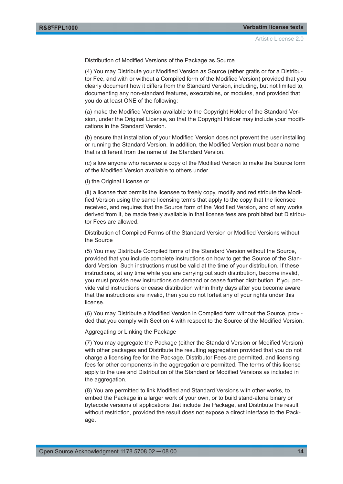Distribution of Modified Versions of the Package as Source

(4) You may Distribute your Modified Version as Source (either gratis or for a Distributor Fee, and with or without a Compiled form of the Modified Version) provided that you clearly document how it differs from the Standard Version, including, but not limited to, documenting any non-standard features, executables, or modules, and provided that you do at least ONE of the following:

(a) make the Modified Version available to the Copyright Holder of the Standard Version, under the Original License, so that the Copyright Holder may include your modifications in the Standard Version.

(b) ensure that installation of your Modified Version does not prevent the user installing or running the Standard Version. In addition, the Modified Version must bear a name that is different from the name of the Standard Version.

(c) allow anyone who receives a copy of the Modified Version to make the Source form of the Modified Version available to others under

#### (i) the Original License or

(ii) a license that permits the licensee to freely copy, modify and redistribute the Modified Version using the same licensing terms that apply to the copy that the licensee received, and requires that the Source form of the Modified Version, and of any works derived from it, be made freely available in that license fees are prohibited but Distributor Fees are allowed.

Distribution of Compiled Forms of the Standard Version or Modified Versions without the Source

(5) You may Distribute Compiled forms of the Standard Version without the Source, provided that you include complete instructions on how to get the Source of the Standard Version. Such instructions must be valid at the time of your distribution. If these instructions, at any time while you are carrying out such distribution, become invalid, you must provide new instructions on demand or cease further distribution. If you provide valid instructions or cease distribution within thirty days after you become aware that the instructions are invalid, then you do not forfeit any of your rights under this license.

(6) You may Distribute a Modified Version in Compiled form without the Source, provided that you comply with Section 4 with respect to the Source of the Modified Version.

Aggregating or Linking the Package

(7) You may aggregate the Package (either the Standard Version or Modified Version) with other packages and Distribute the resulting aggregation provided that you do not charge a licensing fee for the Package. Distributor Fees are permitted, and licensing fees for other components in the aggregation are permitted. The terms of this license apply to the use and Distribution of the Standard or Modified Versions as included in the aggregation.

(8) You are permitted to link Modified and Standard Versions with other works, to embed the Package in a larger work of your own, or to build stand-alone binary or bytecode versions of applications that include the Package, and Distribute the result without restriction, provided the result does not expose a direct interface to the Package.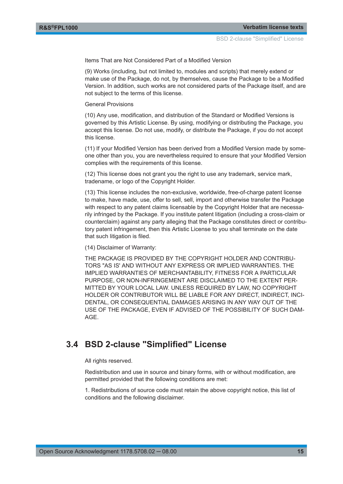<span id="page-14-0"></span>Items That are Not Considered Part of a Modified Version

(9) Works (including, but not limited to, modules and scripts) that merely extend or make use of the Package, do not, by themselves, cause the Package to be a Modified Version. In addition, such works are not considered parts of the Package itself, and are not subject to the terms of this license.

General Provisions

(10) Any use, modification, and distribution of the Standard or Modified Versions is governed by this Artistic License. By using, modifying or distributing the Package, you accept this license. Do not use, modify, or distribute the Package, if you do not accept this license.

(11) If your Modified Version has been derived from a Modified Version made by someone other than you, you are nevertheless required to ensure that your Modified Version complies with the requirements of this license.

(12) This license does not grant you the right to use any trademark, service mark, tradename, or logo of the Copyright Holder.

(13) This license includes the non-exclusive, worldwide, free-of-charge patent license to make, have made, use, offer to sell, sell, import and otherwise transfer the Package with respect to any patent claims licensable by the Copyright Holder that are necessarily infringed by the Package. If you institute patent litigation (including a cross-claim or counterclaim) against any party alleging that the Package constitutes direct or contributory patent infringement, then this Artistic License to you shall terminate on the date that such litigation is filed.

(14) Disclaimer of Warranty:

THE PACKAGE IS PROVIDED BY THE COPYRIGHT HOLDER AND CONTRIBU-TORS "AS IS' AND WITHOUT ANY EXPRESS OR IMPLIED WARRANTIES. THE IMPLIED WARRANTIES OF MERCHANTABILITY, FITNESS FOR A PARTICULAR PURPOSE, OR NON-INFRINGEMENT ARE DISCLAIMED TO THE EXTENT PER-MITTED BY YOUR LOCAL LAW. UNLESS REQUIRED BY LAW, NO COPYRIGHT HOLDER OR CONTRIBUTOR WILL BE LIABLE FOR ANY DIRECT, INDIRECT, INCI-DENTAL, OR CONSEQUENTIAL DAMAGES ARISING IN ANY WAY OUT OF THE USE OF THE PACKAGE, EVEN IF ADVISED OF THE POSSIBILITY OF SUCH DAM-AGE.

## **3.4 BSD 2-clause "Simplified" License**

All rights reserved.

Redistribution and use in source and binary forms, with or without modification, are permitted provided that the following conditions are met:

1. Redistributions of source code must retain the above copyright notice, this list of conditions and the following disclaimer.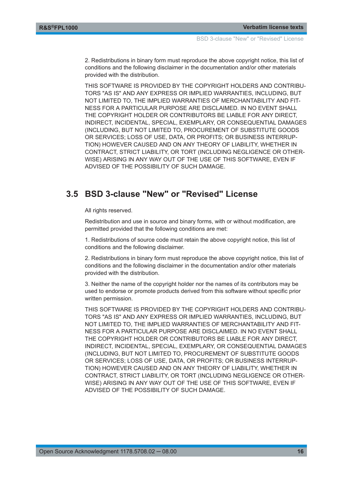<span id="page-15-0"></span>2. Redistributions in binary form must reproduce the above copyright notice, this list of conditions and the following disclaimer in the documentation and/or other materials provided with the distribution.

THIS SOFTWARE IS PROVIDED BY THE COPYRIGHT HOLDERS AND CONTRIBU-TORS "AS IS" AND ANY EXPRESS OR IMPLIED WARRANTIES, INCLUDING, BUT NOT LIMITED TO, THE IMPLIED WARRANTIES OF MERCHANTABILITY AND FIT-NESS FOR A PARTICULAR PURPOSE ARE DISCLAIMED. IN NO EVENT SHALL THE COPYRIGHT HOLDER OR CONTRIBUTORS BE LIABLE FOR ANY DIRECT, INDIRECT, INCIDENTAL, SPECIAL, EXEMPLARY, OR CONSEQUENTIAL DAMAGES (INCLUDING, BUT NOT LIMITED TO, PROCUREMENT OF SUBSTITUTE GOODS OR SERVICES; LOSS OF USE, DATA, OR PROFITS; OR BUSINESS INTERRUP-TION) HOWEVER CAUSED AND ON ANY THEORY OF LIABILITY, WHETHER IN CONTRACT, STRICT LIABILITY, OR TORT (INCLUDING NEGLIGENCE OR OTHER-WISE) ARISING IN ANY WAY OUT OF THE USE OF THIS SOFTWARE, EVEN IF ADVISED OF THE POSSIBILITY OF SUCH DAMAGE.

## **3.5 BSD 3-clause "New" or "Revised" License**

All rights reserved.

Redistribution and use in source and binary forms, with or without modification, are permitted provided that the following conditions are met:

1. Redistributions of source code must retain the above copyright notice, this list of conditions and the following disclaimer.

2. Redistributions in binary form must reproduce the above copyright notice, this list of conditions and the following disclaimer in the documentation and/or other materials provided with the distribution.

3. Neither the name of the copyright holder nor the names of its contributors may be used to endorse or promote products derived from this software without specific prior written permission.

THIS SOFTWARE IS PROVIDED BY THE COPYRIGHT HOLDERS AND CONTRIBU-TORS "AS IS" AND ANY EXPRESS OR IMPLIED WARRANTIES, INCLUDING, BUT NOT LIMITED TO, THE IMPLIED WARRANTIES OF MERCHANTABILITY AND FIT-NESS FOR A PARTICULAR PURPOSE ARE DISCLAIMED. IN NO EVENT SHALL THE COPYRIGHT HOLDER OR CONTRIBUTORS BE LIABLE FOR ANY DIRECT, INDIRECT, INCIDENTAL, SPECIAL, EXEMPLARY, OR CONSEQUENTIAL DAMAGES (INCLUDING, BUT NOT LIMITED TO, PROCUREMENT OF SUBSTITUTE GOODS OR SERVICES; LOSS OF USE, DATA, OR PROFITS; OR BUSINESS INTERRUP-TION) HOWEVER CAUSED AND ON ANY THEORY OF LIABILITY, WHETHER IN CONTRACT, STRICT LIABILITY, OR TORT (INCLUDING NEGLIGENCE OR OTHER-WISE) ARISING IN ANY WAY OUT OF THE USE OF THIS SOFTWARE, EVEN IF ADVISED OF THE POSSIBILITY OF SUCH DAMAGE.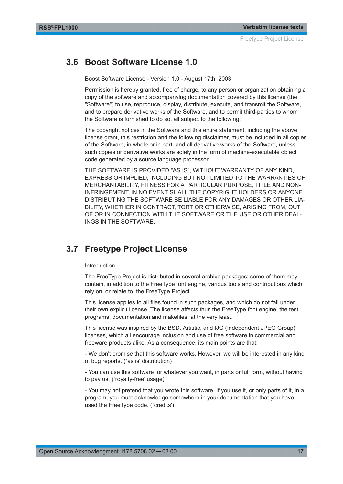## <span id="page-16-0"></span>**3.6 Boost Software License 1.0**

Boost Software License - Version 1.0 - August 17th, 2003

Permission is hereby granted, free of charge, to any person or organization obtaining a copy of the software and accompanying documentation covered by this license (the "Software") to use, reproduce, display, distribute, execute, and transmit the Software, and to prepare derivative works of the Software, and to permit third-parties to whom the Software is furnished to do so, all subject to the following:

The copyright notices in the Software and this entire statement, including the above license grant, this restriction and the following disclaimer, must be included in all copies of the Software, in whole or in part, and all derivative works of the Software, unless such copies or derivative works are solely in the form of machine-executable object code generated by a source language processor.

THE SOFTWARE IS PROVIDED "AS IS", WITHOUT WARRANTY OF ANY KIND, EXPRESS OR IMPLIED, INCLUDING BUT NOT LIMITED TO THE WARRANTIES OF MERCHANTABILITY, FITNESS FOR A PARTICULAR PURPOSE, TITLE AND NON-INFRINGEMENT. IN NO EVENT SHALL THE COPYRIGHT HOLDERS OR ANYONE DISTRIBUTING THE SOFTWARE BE LIABLE FOR ANY DAMAGES OR OTHER LIA-BILITY, WHETHER IN CONTRACT, TORT OR OTHERWISE, ARISING FROM, OUT OF OR IN CONNECTION WITH THE SOFTWARE OR THE USE OR OTHER DEAL-INGS IN THE SOFTWARE.

## **3.7 Freetype Project License**

Introduction

The FreeType Project is distributed in several archive packages; some of them may contain, in addition to the FreeType font engine, various tools and contributions which rely on, or relate to, the FreeType Project.

This license applies to all files found in such packages, and which do not fall under their own explicit license. The license affects thus the FreeType font engine, the test programs, documentation and makefiles, at the very least.

This license was inspired by the BSD, Artistic, and IJG (Independent JPEG Group) licenses, which all encourage inclusion and use of free software in commercial and freeware products alike. As a consequence, its main points are that:

- We don't promise that this software works. However, we will be interested in any kind of bug reports. (`as is' distribution)

- You can use this software for whatever you want, in parts or full form, without having to pay us. (`royalty-free' usage)

- You may not pretend that you wrote this software. If you use it, or only parts of it, in a program, you must acknowledge somewhere in your documentation that you have used the FreeType code. (`credits')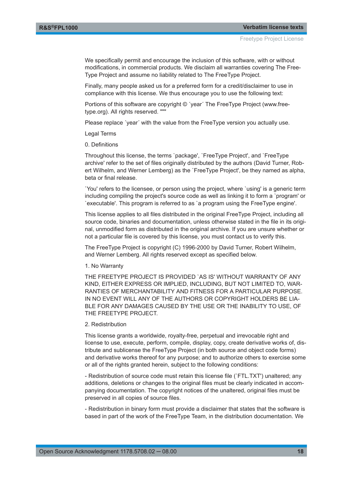We specifically permit and encourage the inclusion of this software, with or without modifications, in commercial products. We disclaim all warranties covering The Free-Type Project and assume no liability related to The FreeType Project.

Finally, many people asked us for a preferred form for a credit/disclaimer to use in compliance with this license. We thus encourage you to use the following text:

Portions of this software are copyright © ´year´ The FreeType Project (www.freetype.org). All rights reserved. """

Please replace 'year' with the value from the FreeType version you actually use.

Legal Terms

0. Definitions

Throughout this license, the terms `package', `FreeType Project', and `FreeType archive' refer to the set of files originally distributed by the authors (David Turner, Robert Wilhelm, and Werner Lemberg) as the `FreeType Project', be they named as alpha, beta or final release.

`You' refers to the licensee, or person using the project, where `using' is a generic term including compiling the project's source code as well as linking it to form a `program' or `executable'. This program is referred to as `a program using the FreeType engine'.

This license applies to all files distributed in the original FreeType Project, including all source code, binaries and documentation, unless otherwise stated in the file in its original, unmodified form as distributed in the original archive. If you are unsure whether or not a particular file is covered by this license, you must contact us to verify this.

The FreeType Project is copyright (C) 1996-2000 by David Turner, Robert Wilhelm, and Werner Lemberg. All rights reserved except as specified below.

#### 1. No Warranty

THE FREETYPE PROJECT IS PROVIDED `AS IS' WITHOUT WARRANTY OF ANY KIND, EITHER EXPRESS OR IMPLIED, INCLUDING, BUT NOT LIMITED TO, WAR-RANTIES OF MERCHANTABILITY AND FITNESS FOR A PARTICULAR PURPOSE. IN NO EVENT WILL ANY OF THE AUTHORS OR COPYRIGHT HOLDERS BE LIA-BLE FOR ANY DAMAGES CAUSED BY THE USE OR THE INABILITY TO USE, OF THE FREETYPE PROJECT.

#### 2. Redistribution

This license grants a worldwide, royalty-free, perpetual and irrevocable right and license to use, execute, perform, compile, display, copy, create derivative works of, distribute and sublicense the FreeType Project (in both source and object code forms) and derivative works thereof for any purpose; and to authorize others to exercise some or all of the rights granted herein, subject to the following conditions:

- Redistribution of source code must retain this license file (`FTL.TXT') unaltered; any additions, deletions or changes to the original files must be clearly indicated in accompanying documentation. The copyright notices of the unaltered, original files must be preserved in all copies of source files.

- Redistribution in binary form must provide a disclaimer that states that the software is based in part of the work of the FreeType Team, in the distribution documentation. We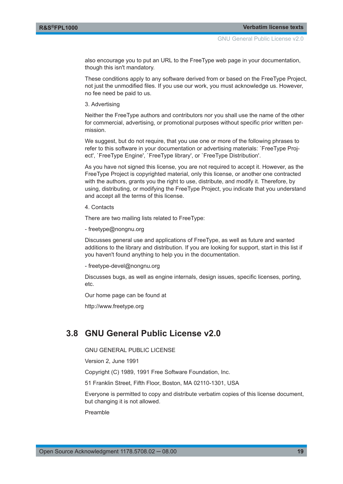<span id="page-18-0"></span>also encourage you to put an URL to the FreeType web page in your documentation, though this isn't mandatory.

These conditions apply to any software derived from or based on the FreeType Project, not just the unmodified files. If you use our work, you must acknowledge us. However, no fee need be paid to us.

3. Advertising

Neither the FreeType authors and contributors nor you shall use the name of the other for commercial, advertising, or promotional purposes without specific prior written permission.

We suggest, but do not require, that you use one or more of the following phrases to refer to this software in your documentation or advertising materials: `FreeType Project', `FreeType Engine', `FreeType library', or `FreeType Distribution'.

As you have not signed this license, you are not required to accept it. However, as the FreeType Project is copyrighted material, only this license, or another one contracted with the authors, grants you the right to use, distribute, and modify it. Therefore, by using, distributing, or modifying the FreeType Project, you indicate that you understand and accept all the terms of this license.

4. Contacts

There are two mailing lists related to FreeType:

- freetype@nongnu.org

Discusses general use and applications of FreeType, as well as future and wanted additions to the library and distribution. If you are looking for support, start in this list if you haven't found anything to help you in the documentation.

- freetype-devel@nongnu.org

Discusses bugs, as well as engine internals, design issues, specific licenses, porting, etc.

Our home page can be found at

http://www.freetype.org

## **3.8 GNU General Public License v2.0**

GNU GENERAL PUBLIC LICENSE

Version 2, June 1991

Copyright (C) 1989, 1991 Free Software Foundation, Inc.

51 Franklin Street, Fifth Floor, Boston, MA 02110-1301, USA

Everyone is permitted to copy and distribute verbatim copies of this license document, but changing it is not allowed.

Preamble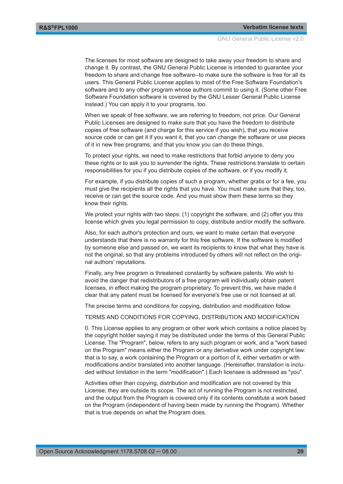The licenses for most software are designed to take away your freedom to share and change it. By contrast, the GNU General Public License is intended to guarantee your freedom to share and change free software--to make sure the software is free for all its users. This General Public License applies to most of the Free Software Foundation's software and to any other program whose authors commit to using it. (Some other Free Software Foundation software is covered by the GNU Lesser General Public License instead.) You can apply it to your programs, too.

When we speak of free software, we are referring to freedom, not price. Our General Public Licenses are designed to make sure that you have the freedom to distribute copies of free software (and charge for this service if you wish), that you receive source code or can get it if you want it, that you can change the software or use pieces of it in new free programs; and that you know you can do these things.

To protect your rights, we need to make restrictions that forbid anyone to deny you these rights or to ask you to surrender the rights. These restrictions translate to certain responsibilities for you if you distribute copies of the software, or if you modify it.

For example, if you distribute copies of such a program, whether gratis or for a fee, you must give the recipients all the rights that you have. You must make sure that they, too, receive or can get the source code. And you must show them these terms so they know their rights.

We protect your rights with two steps: (1) copyright the software, and (2) offer you this license which gives you legal permission to copy, distribute and/or modify the software.

Also, for each author's protection and ours, we want to make certain that everyone understands that there is no warranty for this free software. If the software is modified by someone else and passed on, we want its recipients to know that what they have is not the original, so that any problems introduced by others will not reflect on the original authors' reputations.

Finally, any free program is threatened constantly by software patents. We wish to avoid the danger that redistributors of a free program will individually obtain patent licenses, in effect making the program proprietary. To prevent this, we have made it clear that any patent must be licensed for everyone's free use or not licensed at all.

The precise terms and conditions for copying, distribution and modification follow.

TERMS AND CONDITIONS FOR COPYING, DISTRIBUTION AND MODIFICATION

0. This License applies to any program or other work which contains a notice placed by the copyright holder saying it may be distributed under the terms of this General Public License. The "Program", below, refers to any such program or work, and a "work based on the Program" means either the Program or any derivative work under copyright law: that is to say, a work containing the Program or a portion of it, either verbatim or with modifications and/or translated into another language. (Hereinafter, translation is included without limitation in the term "modification".) Each licensee is addressed as "you".

Activities other than copying, distribution and modification are not covered by this License; they are outside its scope. The act of running the Program is not restricted, and the output from the Program is covered only if its contents constitute a work based on the Program (independent of having been made by running the Program). Whether that is true depends on what the Program does.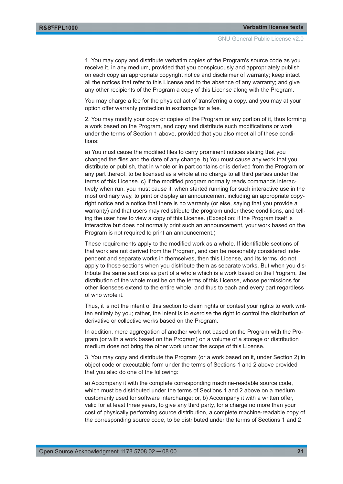1. You may copy and distribute verbatim copies of the Program's source code as you receive it, in any medium, provided that you conspicuously and appropriately publish on each copy an appropriate copyright notice and disclaimer of warranty; keep intact all the notices that refer to this License and to the absence of any warranty; and give any other recipients of the Program a copy of this License along with the Program.

You may charge a fee for the physical act of transferring a copy, and you may at your option offer warranty protection in exchange for a fee.

2. You may modify your copy or copies of the Program or any portion of it, thus forming a work based on the Program, and copy and distribute such modifications or work under the terms of Section 1 above, provided that you also meet all of these conditions:

a) You must cause the modified files to carry prominent notices stating that you changed the files and the date of any change. b) You must cause any work that you distribute or publish, that in whole or in part contains or is derived from the Program or any part thereof, to be licensed as a whole at no charge to all third parties under the terms of this License. c) If the modified program normally reads commands interactively when run, you must cause it, when started running for such interactive use in the most ordinary way, to print or display an announcement including an appropriate copyright notice and a notice that there is no warranty (or else, saying that you provide a warranty) and that users may redistribute the program under these conditions, and telling the user how to view a copy of this License. (Exception: if the Program itself is interactive but does not normally print such an announcement, your work based on the Program is not required to print an announcement.)

These requirements apply to the modified work as a whole. If identifiable sections of that work are not derived from the Program, and can be reasonably considered independent and separate works in themselves, then this License, and its terms, do not apply to those sections when you distribute them as separate works. But when you distribute the same sections as part of a whole which is a work based on the Program, the distribution of the whole must be on the terms of this License, whose permissions for other licensees extend to the entire whole, and thus to each and every part regardless of who wrote it.

Thus, it is not the intent of this section to claim rights or contest your rights to work written entirely by you; rather, the intent is to exercise the right to control the distribution of derivative or collective works based on the Program.

In addition, mere aggregation of another work not based on the Program with the Program (or with a work based on the Program) on a volume of a storage or distribution medium does not bring the other work under the scope of this License.

3. You may copy and distribute the Program (or a work based on it, under Section 2) in object code or executable form under the terms of Sections 1 and 2 above provided that you also do one of the following:

a) Accompany it with the complete corresponding machine-readable source code, which must be distributed under the terms of Sections 1 and 2 above on a medium customarily used for software interchange; or, b) Accompany it with a written offer, valid for at least three years, to give any third party, for a charge no more than your cost of physically performing source distribution, a complete machine-readable copy of the corresponding source code, to be distributed under the terms of Sections 1 and 2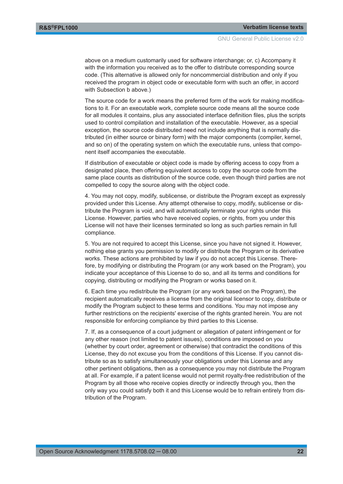above on a medium customarily used for software interchange; or, c) Accompany it with the information you received as to the offer to distribute corresponding source code. (This alternative is allowed only for noncommercial distribution and only if you received the program in object code or executable form with such an offer, in accord with Subsection b above.)

The source code for a work means the preferred form of the work for making modifications to it. For an executable work, complete source code means all the source code for all modules it contains, plus any associated interface definition files, plus the scripts used to control compilation and installation of the executable. However, as a special exception, the source code distributed need not include anything that is normally distributed (in either source or binary form) with the major components (compiler, kernel, and so on) of the operating system on which the executable runs, unless that component itself accompanies the executable.

If distribution of executable or object code is made by offering access to copy from a designated place, then offering equivalent access to copy the source code from the same place counts as distribution of the source code, even though third parties are not compelled to copy the source along with the object code.

4. You may not copy, modify, sublicense, or distribute the Program except as expressly provided under this License. Any attempt otherwise to copy, modify, sublicense or distribute the Program is void, and will automatically terminate your rights under this License. However, parties who have received copies, or rights, from you under this License will not have their licenses terminated so long as such parties remain in full compliance.

5. You are not required to accept this License, since you have not signed it. However, nothing else grants you permission to modify or distribute the Program or its derivative works. These actions are prohibited by law if you do not accept this License. Therefore, by modifying or distributing the Program (or any work based on the Program), you indicate your acceptance of this License to do so, and all its terms and conditions for copying, distributing or modifying the Program or works based on it.

6. Each time you redistribute the Program (or any work based on the Program), the recipient automatically receives a license from the original licensor to copy, distribute or modify the Program subject to these terms and conditions. You may not impose any further restrictions on the recipients' exercise of the rights granted herein. You are not responsible for enforcing compliance by third parties to this License.

7. If, as a consequence of a court judgment or allegation of patent infringement or for any other reason (not limited to patent issues), conditions are imposed on you (whether by court order, agreement or otherwise) that contradict the conditions of this License, they do not excuse you from the conditions of this License. If you cannot distribute so as to satisfy simultaneously your obligations under this License and any other pertinent obligations, then as a consequence you may not distribute the Program at all. For example, if a patent license would not permit royalty-free redistribution of the Program by all those who receive copies directly or indirectly through you, then the only way you could satisfy both it and this License would be to refrain entirely from distribution of the Program.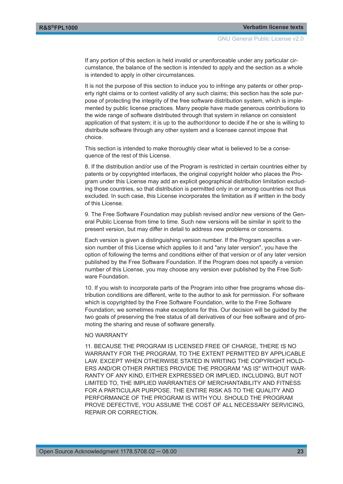If any portion of this section is held invalid or unenforceable under any particular circumstance, the balance of the section is intended to apply and the section as a whole is intended to apply in other circumstances.

It is not the purpose of this section to induce you to infringe any patents or other property right claims or to contest validity of any such claims; this section has the sole purpose of protecting the integrity of the free software distribution system, which is implemented by public license practices. Many people have made generous contributions to the wide range of software distributed through that system in reliance on consistent application of that system; it is up to the author/donor to decide if he or she is willing to distribute software through any other system and a licensee cannot impose that choice.

This section is intended to make thoroughly clear what is believed to be a consequence of the rest of this License.

8. If the distribution and/or use of the Program is restricted in certain countries either by patents or by copyrighted interfaces, the original copyright holder who places the Program under this License may add an explicit geographical distribution limitation excluding those countries, so that distribution is permitted only in or among countries not thus excluded. In such case, this License incorporates the limitation as if written in the body of this License.

9. The Free Software Foundation may publish revised and/or new versions of the General Public License from time to time. Such new versions will be similar in spirit to the present version, but may differ in detail to address new problems or concerns.

Each version is given a distinguishing version number. If the Program specifies a version number of this License which applies to it and "any later version", you have the option of following the terms and conditions either of that version or of any later version published by the Free Software Foundation. If the Program does not specify a version number of this License, you may choose any version ever published by the Free Software Foundation.

10. If you wish to incorporate parts of the Program into other free programs whose distribution conditions are different, write to the author to ask for permission. For software which is copyrighted by the Free Software Foundation, write to the Free Software Foundation; we sometimes make exceptions for this. Our decision will be guided by the two goals of preserving the free status of all derivatives of our free software and of promoting the sharing and reuse of software generally.

#### NO WARRANTY

11. BECAUSE THE PROGRAM IS LICENSED FREE OF CHARGE, THERE IS NO WARRANTY FOR THE PROGRAM, TO THE EXTENT PERMITTED BY APPLICABLE LAW. EXCEPT WHEN OTHERWISE STATED IN WRITING THE COPYRIGHT HOLD-ERS AND/OR OTHER PARTIES PROVIDE THE PROGRAM "AS IS" WITHOUT WAR-RANTY OF ANY KIND, EITHER EXPRESSED OR IMPLIED, INCLUDING, BUT NOT LIMITED TO, THE IMPLIED WARRANTIES OF MERCHANTABILITY AND FITNESS FOR A PARTICULAR PURPOSE. THE ENTIRE RISK AS TO THE QUALITY AND PERFORMANCE OF THE PROGRAM IS WITH YOU. SHOULD THE PROGRAM PROVE DEFECTIVE, YOU ASSUME THE COST OF ALL NECESSARY SERVICING, REPAIR OR CORRECTION.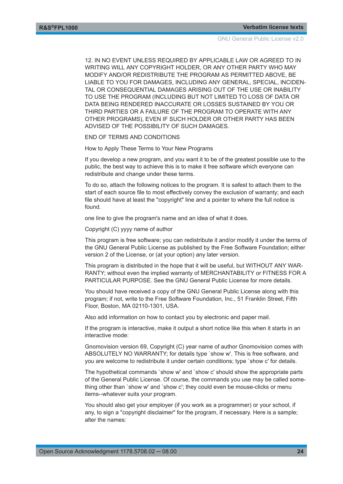12. IN NO EVENT UNLESS REQUIRED BY APPLICABLE LAW OR AGREED TO IN WRITING WILL ANY COPYRIGHT HOLDER, OR ANY OTHER PARTY WHO MAY MODIFY AND/OR REDISTRIBUTE THE PROGRAM AS PERMITTED ABOVE, BE LIABLE TO YOU FOR DAMAGES, INCLUDING ANY GENERAL, SPECIAL, INCIDEN-TAL OR CONSEQUENTIAL DAMAGES ARISING OUT OF THE USE OR INABILITY TO USE THE PROGRAM (INCLUDING BUT NOT LIMITED TO LOSS OF DATA OR DATA BEING RENDERED INACCURATE OR LOSSES SUSTAINED BY YOU OR THIRD PARTIES OR A FAILURE OF THE PROGRAM TO OPERATE WITH ANY OTHER PROGRAMS), EVEN IF SUCH HOLDER OR OTHER PARTY HAS BEEN ADVISED OF THE POSSIBILITY OF SUCH DAMAGES.

END OF TERMS AND CONDITIONS

How to Apply These Terms to Your New Programs

If you develop a new program, and you want it to be of the greatest possible use to the public, the best way to achieve this is to make it free software which everyone can redistribute and change under these terms.

To do so, attach the following notices to the program. It is safest to attach them to the start of each source file to most effectively convey the exclusion of warranty; and each file should have at least the "copyright" line and a pointer to where the full notice is found.

one line to give the program's name and an idea of what it does.

Copyright (C) yyyy name of author

This program is free software; you can redistribute it and/or modify it under the terms of the GNU General Public License as published by the Free Software Foundation; either version 2 of the License, or (at your option) any later version.

This program is distributed in the hope that it will be useful, but WITHOUT ANY WAR-RANTY; without even the implied warranty of MERCHANTABILITY or FITNESS FOR A PARTICULAR PURPOSE. See the GNU General Public License for more details.

You should have received a copy of the GNU General Public License along with this program; if not, write to the Free Software Foundation, Inc., 51 Franklin Street, Fifth Floor, Boston, MA 02110-1301, USA.

Also add information on how to contact you by electronic and paper mail.

If the program is interactive, make it output a short notice like this when it starts in an interactive mode:

Gnomovision version 69, Copyright (C) year name of author Gnomovision comes with ABSOLUTELY NO WARRANTY; for details type `show w'. This is free software, and you are welcome to redistribute it under certain conditions; type `show c' for details.

The hypothetical commands `show w' and `show c' should show the appropriate parts of the General Public License. Of course, the commands you use may be called something other than `show w' and `show c'; they could even be mouse-clicks or menu items--whatever suits your program.

You should also get your employer (if you work as a programmer) or your school, if any, to sign a "copyright disclaimer" for the program, if necessary. Here is a sample; alter the names: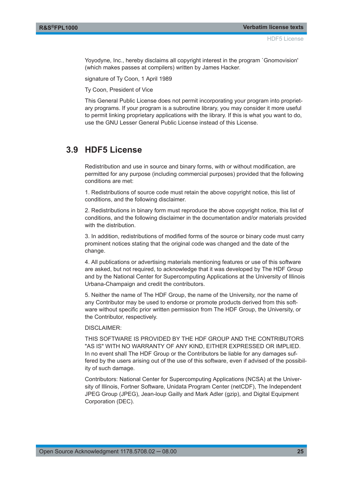<span id="page-24-0"></span>Yoyodyne, Inc., hereby disclaims all copyright interest in the program `Gnomovision' (which makes passes at compilers) written by James Hacker.

signature of Ty Coon, 1 April 1989

Ty Coon, President of Vice

This General Public License does not permit incorporating your program into proprietary programs. If your program is a subroutine library, you may consider it more useful to permit linking proprietary applications with the library. If this is what you want to do, use the GNU Lesser General Public License instead of this License.

## **3.9 HDF5 License**

Redistribution and use in source and binary forms, with or without modification, are permitted for any purpose (including commercial purposes) provided that the following conditions are met:

1. Redistributions of source code must retain the above copyright notice, this list of conditions, and the following disclaimer.

2. Redistributions in binary form must reproduce the above copyright notice, this list of conditions, and the following disclaimer in the documentation and/or materials provided with the distribution.

3. In addition, redistributions of modified forms of the source or binary code must carry prominent notices stating that the original code was changed and the date of the change.

4. All publications or advertising materials mentioning features or use of this software are asked, but not required, to acknowledge that it was developed by The HDF Group and by the National Center for Supercomputing Applications at the University of Illinois Urbana-Champaign and credit the contributors.

5. Neither the name of The HDF Group, the name of the University, nor the name of any Contributor may be used to endorse or promote products derived from this software without specific prior written permission from The HDF Group, the University, or the Contributor, respectively.

### DISCLAIMER:

THIS SOFTWARE IS PROVIDED BY THE HDF GROUP AND THE CONTRIBUTORS "AS IS" WITH NO WARRANTY OF ANY KIND, EITHER EXPRESSED OR IMPLIED. In no event shall The HDF Group or the Contributors be liable for any damages suffered by the users arising out of the use of this software, even if advised of the possibility of such damage.

Contributors: National Center for Supercomputing Applications (NCSA) at the University of Illinois, Fortner Software, Unidata Program Center (netCDF), The Independent JPEG Group (JPEG), Jean-loup Gailly and Mark Adler (gzip), and Digital Equipment Corporation (DEC).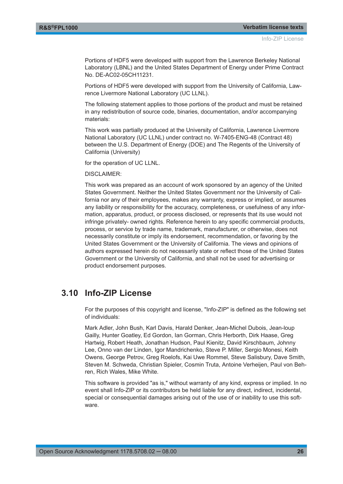<span id="page-25-0"></span>Portions of HDF5 were developed with support from the Lawrence Berkeley National Laboratory (LBNL) and the United States Department of Energy under Prime Contract No. DE-AC02-05CH11231.

Portions of HDF5 were developed with support from the University of California, Lawrence Livermore National Laboratory (UC LLNL).

The following statement applies to those portions of the product and must be retained in any redistribution of source code, binaries, documentation, and/or accompanying materials:

This work was partially produced at the University of California, Lawrence Livermore National Laboratory (UC LLNL) under contract no. W-7405-ENG-48 (Contract 48) between the U.S. Department of Energy (DOE) and The Regents of the University of California (University)

for the operation of UC LLNL.

DISCLAIMER:

This work was prepared as an account of work sponsored by an agency of the United States Government. Neither the United States Government nor the University of California nor any of their employees, makes any warranty, express or implied, or assumes any liability or responsibility for the accuracy, completeness, or usefulness of any information, apparatus, product, or process disclosed, or represents that its use would not infringe privately- owned rights. Reference herein to any specific commercial products, process, or service by trade name, trademark, manufacturer, or otherwise, does not necessarily constitute or imply its endorsement, recommendation, or favoring by the United States Government or the University of California. The views and opinions of authors expressed herein do not necessarily state or reflect those of the United States Government or the University of California, and shall not be used for advertising or product endorsement purposes.

## **3.10 Info-ZIP License**

For the purposes of this copyright and license, "Info-ZIP" is defined as the following set of individuals:

Mark Adler, John Bush, Karl Davis, Harald Denker, Jean-Michel Dubois, Jean-loup Gailly, Hunter Goatley, Ed Gordon, Ian Gorman, Chris Herborth, Dirk Haase, Greg Hartwig, Robert Heath, Jonathan Hudson, Paul Kienitz, David Kirschbaum, Johnny Lee, Onno van der Linden, Igor Mandrichenko, Steve P. Miller, Sergio Monesi, Keith Owens, George Petrov, Greg Roelofs, Kai Uwe Rommel, Steve Salisbury, Dave Smith, Steven M. Schweda, Christian Spieler, Cosmin Truta, Antoine Verheijen, Paul von Behren, Rich Wales, Mike White.

This software is provided "as is," without warranty of any kind, express or implied. In no event shall Info-ZIP or its contributors be held liable for any direct, indirect, incidental, special or consequential damages arising out of the use of or inability to use this software.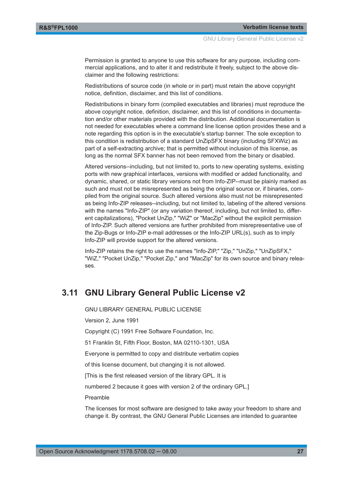<span id="page-26-0"></span>Permission is granted to anyone to use this software for any purpose, including commercial applications, and to alter it and redistribute it freely, subject to the above disclaimer and the following restrictions:

Redistributions of source code (in whole or in part) must retain the above copyright notice, definition, disclaimer, and this list of conditions.

Redistributions in binary form (compiled executables and libraries) must reproduce the above copyright notice, definition, disclaimer, and this list of conditions in documentation and/or other materials provided with the distribution. Additional documentation is not needed for executables where a command line license option provides these and a note regarding this option is in the executable's startup banner. The sole exception to this condition is redistribution of a standard UnZipSFX binary (including SFXWiz) as part of a self-extracting archive; that is permitted without inclusion of this license, as long as the normal SFX banner has not been removed from the binary or disabled.

Altered versions--including, but not limited to, ports to new operating systems, existing ports with new graphical interfaces, versions with modified or added functionality, and dynamic, shared, or static library versions not from Info-ZIP--must be plainly marked as such and must not be misrepresented as being the original source or, if binaries, compiled from the original source. Such altered versions also must not be misrepresented as being Info-ZIP releases--including, but not limited to, labeling of the altered versions with the names "Info-ZIP" (or any variation thereof, including, but not limited to, different capitalizations), "Pocket UnZip," "WiZ" or "MacZip" without the explicit permission of Info-ZIP. Such altered versions are further prohibited from misrepresentative use of the Zip-Bugs or Info-ZIP e-mail addresses or the Info-ZIP URL(s), such as to imply Info-ZIP will provide support for the altered versions.

Info-ZIP retains the right to use the names "Info-ZIP," "Zip," "UnZip," "UnZipSFX," "WiZ," "Pocket UnZip," "Pocket Zip," and "MacZip" for its own source and binary releases.

## **3.11 GNU Library General Public License v2**

GNU LIBRARY GENERAL PUBLIC LICENSE Version 2, June 1991 Copyright (C) 1991 Free Software Foundation, Inc. 51 Franklin St, Fifth Floor, Boston, MA 02110-1301, USA Everyone is permitted to copy and distribute verbatim copies of this license document, but changing it is not allowed. [This is the first released version of the library GPL. It is numbered 2 because it goes with version 2 of the ordinary GPL.] Preamble The licenses for most software are designed to take away your freedom to share and

change it. By contrast, the GNU General Public Licenses are intended to guarantee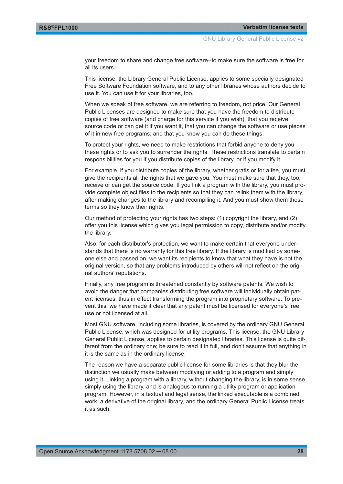your freedom to share and change free software--to make sure the software is free for all its users.

This license, the Library General Public License, applies to some specially designated Free Software Foundation software, and to any other libraries whose authors decide to use it. You can use it for your libraries, too.

When we speak of free software, we are referring to freedom, not price. Our General Public Licenses are designed to make sure that you have the freedom to distribute copies of free software (and charge for this service if you wish), that you receive source code or can get it if you want it, that you can change the software or use pieces of it in new free programs; and that you know you can do these things.

To protect your rights, we need to make restrictions that forbid anyone to deny you these rights or to ask you to surrender the rights. These restrictions translate to certain responsibilities for you if you distribute copies of the library, or if you modify it.

For example, if you distribute copies of the library, whether gratis or for a fee, you must give the recipients all the rights that we gave you. You must make sure that they, too, receive or can get the source code. If you link a program with the library, you must provide complete object files to the recipients so that they can relink them with the library, after making changes to the library and recompiling it. And you must show them these terms so they know their rights.

Our method of protecting your rights has two steps: (1) copyright the library, and (2) offer you this license which gives you legal permission to copy, distribute and/or modify the library.

Also, for each distributor's protection, we want to make certain that everyone understands that there is no warranty for this free library. If the library is modified by someone else and passed on, we want its recipients to know that what they have is not the original version, so that any problems introduced by others will not reflect on the original authors' reputations.

Finally, any free program is threatened constantly by software patents. We wish to avoid the danger that companies distributing free software will individually obtain patent licenses, thus in effect transforming the program into proprietary software. To prevent this, we have made it clear that any patent must be licensed for everyone's free use or not licensed at all.

Most GNU software, including some libraries, is covered by the ordinary GNU General Public License, which was designed for utility programs. This license, the GNU Library General Public License, applies to certain designated libraries. This license is quite different from the ordinary one; be sure to read it in full, and don't assume that anything in it is the same as in the ordinary license.

The reason we have a separate public license for some libraries is that they blur the distinction we usually make between modifying or adding to a program and simply using it. Linking a program with a library, without changing the library, is in some sense simply using the library, and is analogous to running a utility program or application program. However, in a textual and legal sense, the linked executable is a combined work, a derivative of the original library, and the ordinary General Public License treats it as such.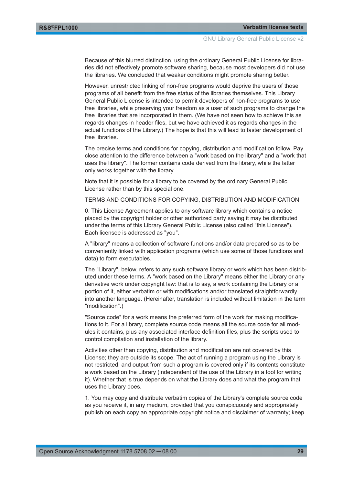Because of this blurred distinction, using the ordinary General Public License for libraries did not effectively promote software sharing, because most developers did not use the libraries. We concluded that weaker conditions might promote sharing better.

However, unrestricted linking of non-free programs would deprive the users of those programs of all benefit from the free status of the libraries themselves. This Library General Public License is intended to permit developers of non-free programs to use free libraries, while preserving your freedom as a user of such programs to change the free libraries that are incorporated in them. (We have not seen how to achieve this as regards changes in header files, but we have achieved it as regards changes in the actual functions of the Library.) The hope is that this will lead to faster development of free libraries.

The precise terms and conditions for copying, distribution and modification follow. Pay close attention to the difference between a "work based on the library" and a "work that uses the library". The former contains code derived from the library, while the latter only works together with the library.

Note that it is possible for a library to be covered by the ordinary General Public License rather than by this special one.

TERMS AND CONDITIONS FOR COPYING, DISTRIBUTION AND MODIFICATION

0. This License Agreement applies to any software library which contains a notice placed by the copyright holder or other authorized party saying it may be distributed under the terms of this Library General Public License (also called "this License"). Each licensee is addressed as "you".

A "library" means a collection of software functions and/or data prepared so as to be conveniently linked with application programs (which use some of those functions and data) to form executables.

The "Library", below, refers to any such software library or work which has been distributed under these terms. A "work based on the Library" means either the Library or any derivative work under copyright law: that is to say, a work containing the Library or a portion of it, either verbatim or with modifications and/or translated straightforwardly into another language. (Hereinafter, translation is included without limitation in the term "modification".)

"Source code" for a work means the preferred form of the work for making modifications to it. For a library, complete source code means all the source code for all modules it contains, plus any associated interface definition files, plus the scripts used to control compilation and installation of the library.

Activities other than copying, distribution and modification are not covered by this License; they are outside its scope. The act of running a program using the Library is not restricted, and output from such a program is covered only if its contents constitute a work based on the Library (independent of the use of the Library in a tool for writing it). Whether that is true depends on what the Library does and what the program that uses the Library does.

1. You may copy and distribute verbatim copies of the Library's complete source code as you receive it, in any medium, provided that you conspicuously and appropriately publish on each copy an appropriate copyright notice and disclaimer of warranty; keep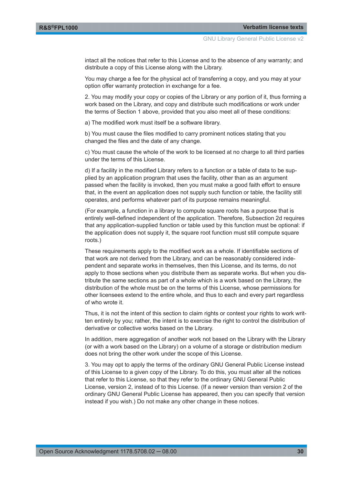intact all the notices that refer to this License and to the absence of any warranty; and distribute a copy of this License along with the Library.

You may charge a fee for the physical act of transferring a copy, and you may at your option offer warranty protection in exchange for a fee.

2. You may modify your copy or copies of the Library or any portion of it, thus forming a work based on the Library, and copy and distribute such modifications or work under the terms of Section 1 above, provided that you also meet all of these conditions:

a) The modified work must itself be a software library.

b) You must cause the files modified to carry prominent notices stating that you changed the files and the date of any change.

c) You must cause the whole of the work to be licensed at no charge to all third parties under the terms of this License.

d) If a facility in the modified Library refers to a function or a table of data to be supplied by an application program that uses the facility, other than as an argument passed when the facility is invoked, then you must make a good faith effort to ensure that, in the event an application does not supply such function or table, the facility still operates, and performs whatever part of its purpose remains meaningful.

(For example, a function in a library to compute square roots has a purpose that is entirely well-defined independent of the application. Therefore, Subsection 2d requires that any application-supplied function or table used by this function must be optional: if the application does not supply it, the square root function must still compute square roots.)

These requirements apply to the modified work as a whole. If identifiable sections of that work are not derived from the Library, and can be reasonably considered independent and separate works in themselves, then this License, and its terms, do not apply to those sections when you distribute them as separate works. But when you distribute the same sections as part of a whole which is a work based on the Library, the distribution of the whole must be on the terms of this License, whose permissions for other licensees extend to the entire whole, and thus to each and every part regardless of who wrote it.

Thus, it is not the intent of this section to claim rights or contest your rights to work written entirely by you; rather, the intent is to exercise the right to control the distribution of derivative or collective works based on the Library.

In addition, mere aggregation of another work not based on the Library with the Library (or with a work based on the Library) on a volume of a storage or distribution medium does not bring the other work under the scope of this License.

3. You may opt to apply the terms of the ordinary GNU General Public License instead of this License to a given copy of the Library. To do this, you must alter all the notices that refer to this License, so that they refer to the ordinary GNU General Public License, version 2, instead of to this License. (If a newer version than version 2 of the ordinary GNU General Public License has appeared, then you can specify that version instead if you wish.) Do not make any other change in these notices.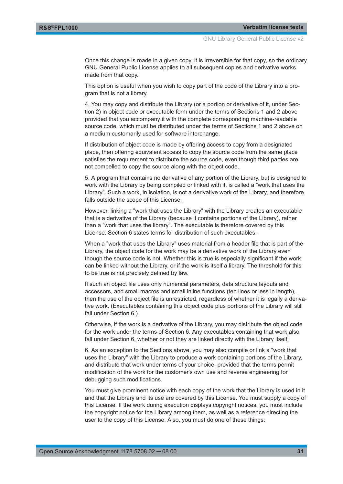Once this change is made in a given copy, it is irreversible for that copy, so the ordinary GNU General Public License applies to all subsequent copies and derivative works made from that copy.

This option is useful when you wish to copy part of the code of the Library into a program that is not a library.

4. You may copy and distribute the Library (or a portion or derivative of it, under Section 2) in object code or executable form under the terms of Sections 1 and 2 above provided that you accompany it with the complete corresponding machine-readable source code, which must be distributed under the terms of Sections 1 and 2 above on a medium customarily used for software interchange.

If distribution of object code is made by offering access to copy from a designated place, then offering equivalent access to copy the source code from the same place satisfies the requirement to distribute the source code, even though third parties are not compelled to copy the source along with the object code.

5. A program that contains no derivative of any portion of the Library, but is designed to work with the Library by being compiled or linked with it, is called a "work that uses the Library". Such a work, in isolation, is not a derivative work of the Library, and therefore falls outside the scope of this License.

However, linking a "work that uses the Library" with the Library creates an executable that is a derivative of the Library (because it contains portions of the Library), rather than a "work that uses the library". The executable is therefore covered by this License. Section 6 states terms for distribution of such executables.

When a "work that uses the Library" uses material from a header file that is part of the Library, the object code for the work may be a derivative work of the Library even though the source code is not. Whether this is true is especially significant if the work can be linked without the Library, or if the work is itself a library. The threshold for this to be true is not precisely defined by law.

If such an object file uses only numerical parameters, data structure layouts and accessors, and small macros and small inline functions (ten lines or less in length), then the use of the object file is unrestricted, regardless of whether it is legally a derivative work. (Executables containing this object code plus portions of the Library will still fall under Section 6.)

Otherwise, if the work is a derivative of the Library, you may distribute the object code for the work under the terms of Section 6. Any executables containing that work also fall under Section 6, whether or not they are linked directly with the Library itself.

6. As an exception to the Sections above, you may also compile or link a "work that uses the Library" with the Library to produce a work containing portions of the Library, and distribute that work under terms of your choice, provided that the terms permit modification of the work for the customer's own use and reverse engineering for debugging such modifications.

You must give prominent notice with each copy of the work that the Library is used in it and that the Library and its use are covered by this License. You must supply a copy of this License. If the work during execution displays copyright notices, you must include the copyright notice for the Library among them, as well as a reference directing the user to the copy of this License. Also, you must do one of these things: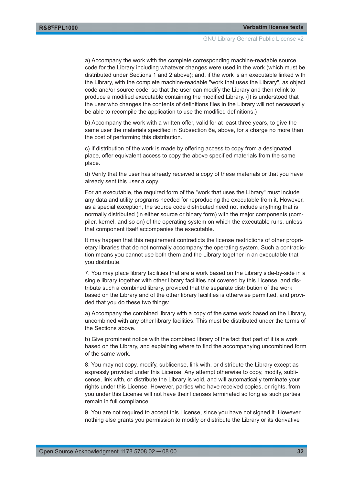a) Accompany the work with the complete corresponding machine-readable source code for the Library including whatever changes were used in the work (which must be distributed under Sections 1 and 2 above); and, if the work is an executable linked with the Library, with the complete machine-readable "work that uses the Library", as object code and/or source code, so that the user can modify the Library and then relink to produce a modified executable containing the modified Library. (It is understood that the user who changes the contents of definitions files in the Library will not necessarily be able to recompile the application to use the modified definitions.)

b) Accompany the work with a written offer, valid for at least three years, to give the same user the materials specified in Subsection 6a, above, for a charge no more than the cost of performing this distribution.

c) If distribution of the work is made by offering access to copy from a designated place, offer equivalent access to copy the above specified materials from the same place.

d) Verify that the user has already received a copy of these materials or that you have already sent this user a copy.

For an executable, the required form of the "work that uses the Library" must include any data and utility programs needed for reproducing the executable from it. However, as a special exception, the source code distributed need not include anything that is normally distributed (in either source or binary form) with the major components (compiler, kernel, and so on) of the operating system on which the executable runs, unless that component itself accompanies the executable.

It may happen that this requirement contradicts the license restrictions of other proprietary libraries that do not normally accompany the operating system. Such a contradiction means you cannot use both them and the Library together in an executable that you distribute.

7. You may place library facilities that are a work based on the Library side-by-side in a single library together with other library facilities not covered by this License, and distribute such a combined library, provided that the separate distribution of the work based on the Library and of the other library facilities is otherwise permitted, and provided that you do these two things:

a) Accompany the combined library with a copy of the same work based on the Library, uncombined with any other library facilities. This must be distributed under the terms of the Sections above.

b) Give prominent notice with the combined library of the fact that part of it is a work based on the Library, and explaining where to find the accompanying uncombined form of the same work.

8. You may not copy, modify, sublicense, link with, or distribute the Library except as expressly provided under this License. Any attempt otherwise to copy, modify, sublicense, link with, or distribute the Library is void, and will automatically terminate your rights under this License. However, parties who have received copies, or rights, from you under this License will not have their licenses terminated so long as such parties remain in full compliance.

9. You are not required to accept this License, since you have not signed it. However, nothing else grants you permission to modify or distribute the Library or its derivative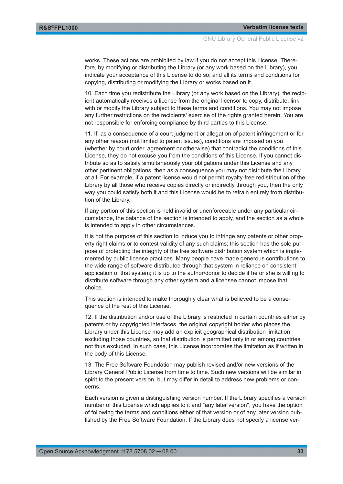works. These actions are prohibited by law if you do not accept this License. Therefore, by modifying or distributing the Library (or any work based on the Library), you indicate your acceptance of this License to do so, and all its terms and conditions for copying, distributing or modifying the Library or works based on it.

10. Each time you redistribute the Library (or any work based on the Library), the recipient automatically receives a license from the original licensor to copy, distribute, link with or modify the Library subject to these terms and conditions. You may not impose any further restrictions on the recipients' exercise of the rights granted herein. You are not responsible for enforcing compliance by third parties to this License.

11. If, as a consequence of a court judgment or allegation of patent infringement or for any other reason (not limited to patent issues), conditions are imposed on you (whether by court order, agreement or otherwise) that contradict the conditions of this License, they do not excuse you from the conditions of this License. If you cannot distribute so as to satisfy simultaneously your obligations under this License and any other pertinent obligations, then as a consequence you may not distribute the Library at all. For example, if a patent license would not permit royalty-free redistribution of the Library by all those who receive copies directly or indirectly through you, then the only way you could satisfy both it and this License would be to refrain entirely from distribution of the Library.

If any portion of this section is held invalid or unenforceable under any particular circumstance, the balance of the section is intended to apply, and the section as a whole is intended to apply in other circumstances.

It is not the purpose of this section to induce you to infringe any patents or other property right claims or to contest validity of any such claims; this section has the sole purpose of protecting the integrity of the free software distribution system which is implemented by public license practices. Many people have made generous contributions to the wide range of software distributed through that system in reliance on consistent application of that system; it is up to the author/donor to decide if he or she is willing to distribute software through any other system and a licensee cannot impose that choice.

This section is intended to make thoroughly clear what is believed to be a consequence of the rest of this License.

12. If the distribution and/or use of the Library is restricted in certain countries either by patents or by copyrighted interfaces, the original copyright holder who places the Library under this License may add an explicit geographical distribution limitation excluding those countries, so that distribution is permitted only in or among countries not thus excluded. In such case, this License incorporates the limitation as if written in the body of this License.

13. The Free Software Foundation may publish revised and/or new versions of the Library General Public License from time to time. Such new versions will be similar in spirit to the present version, but may differ in detail to address new problems or concerns.

Each version is given a distinguishing version number. If the Library specifies a version number of this License which applies to it and "any later version", you have the option of following the terms and conditions either of that version or of any later version published by the Free Software Foundation. If the Library does not specify a license ver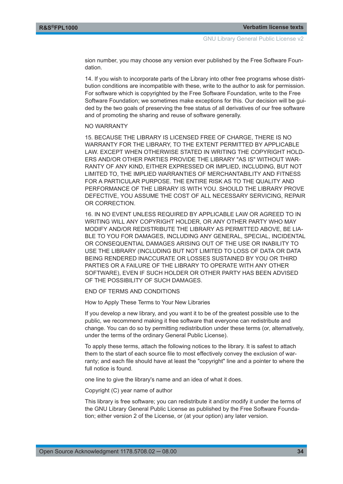sion number, you may choose any version ever published by the Free Software Foundation.

14. If you wish to incorporate parts of the Library into other free programs whose distribution conditions are incompatible with these, write to the author to ask for permission. For software which is copyrighted by the Free Software Foundation, write to the Free Software Foundation; we sometimes make exceptions for this. Our decision will be guided by the two goals of preserving the free status of all derivatives of our free software and of promoting the sharing and reuse of software generally.

#### NO WARRANTY

15. BECAUSE THE LIBRARY IS LICENSED FREE OF CHARGE, THERE IS NO WARRANTY FOR THE LIBRARY, TO THE EXTENT PERMITTED BY APPLICABLE LAW. EXCEPT WHEN OTHERWISE STATED IN WRITING THE COPYRIGHT HOLD-ERS AND/OR OTHER PARTIES PROVIDE THE LIBRARY "AS IS" WITHOUT WAR-RANTY OF ANY KIND, EITHER EXPRESSED OR IMPLIED, INCLUDING, BUT NOT LIMITED TO, THE IMPLIED WARRANTIES OF MERCHANTABILITY AND FITNESS FOR A PARTICULAR PURPOSE. THE ENTIRE RISK AS TO THE QUALITY AND PERFORMANCE OF THE LIBRARY IS WITH YOU. SHOULD THE LIBRARY PROVE DEFECTIVE, YOU ASSUME THE COST OF ALL NECESSARY SERVICING, REPAIR OR CORRECTION.

16. IN NO EVENT UNLESS REQUIRED BY APPLICABLE LAW OR AGREED TO IN WRITING WILL ANY COPYRIGHT HOLDER, OR ANY OTHER PARTY WHO MAY MODIFY AND/OR REDISTRIBUTE THE LIBRARY AS PERMITTED ABOVE, BE LIA-BLE TO YOU FOR DAMAGES, INCLUDING ANY GENERAL, SPECIAL, INCIDENTAL OR CONSEQUENTIAL DAMAGES ARISING OUT OF THE USE OR INABILITY TO USE THE LIBRARY (INCLUDING BUT NOT LIMITED TO LOSS OF DATA OR DATA BEING RENDERED INACCURATE OR LOSSES SUSTAINED BY YOU OR THIRD PARTIES OR A FAILURE OF THE LIBRARY TO OPERATE WITH ANY OTHER SOFTWARE), EVEN IF SUCH HOLDER OR OTHER PARTY HAS BEEN ADVISED OF THE POSSIBILITY OF SUCH DAMAGES.

#### END OF TERMS AND CONDITIONS

How to Apply These Terms to Your New Libraries

If you develop a new library, and you want it to be of the greatest possible use to the public, we recommend making it free software that everyone can redistribute and change. You can do so by permitting redistribution under these terms (or, alternatively, under the terms of the ordinary General Public License).

To apply these terms, attach the following notices to the library. It is safest to attach them to the start of each source file to most effectively convey the exclusion of warranty; and each file should have at least the "copyright" line and a pointer to where the full notice is found.

one line to give the library's name and an idea of what it does.

Copyright (C) year name of author

This library is free software; you can redistribute it and/or modify it under the terms of the GNU Library General Public License as published by the Free Software Foundation; either version 2 of the License, or (at your option) any later version.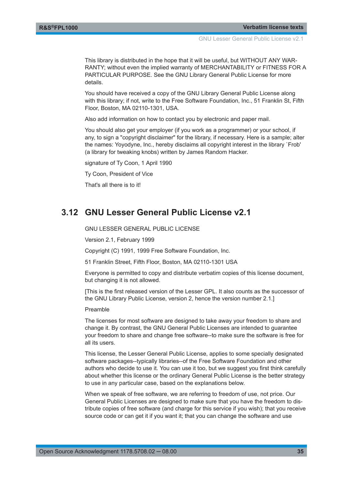<span id="page-34-0"></span>This library is distributed in the hope that it will be useful, but WITHOUT ANY WAR-RANTY; without even the implied warranty of MERCHANTABILITY or FITNESS FOR A PARTICULAR PURPOSE. See the GNU Library General Public License for more details.

You should have received a copy of the GNU Library General Public License along with this library; if not, write to the Free Software Foundation, Inc., 51 Franklin St, Fifth Floor, Boston, MA 02110-1301, USA.

Also add information on how to contact you by electronic and paper mail.

You should also get your employer (if you work as a programmer) or your school, if any, to sign a "copyright disclaimer" for the library, if necessary. Here is a sample; alter the names: Yoyodyne, Inc., hereby disclaims all copyright interest in the library `Frob' (a library for tweaking knobs) written by James Random Hacker.

signature of Ty Coon, 1 April 1990

Ty Coon, President of Vice

That's all there is to it!

## **3.12 GNU Lesser General Public License v2.1**

GNU LESSER GENERAL PUBLIC LICENSE

Version 2.1, February 1999

Copyright (C) 1991, 1999 Free Software Foundation, Inc.

51 Franklin Street, Fifth Floor, Boston, MA 02110-1301 USA

Everyone is permitted to copy and distribute verbatim copies of this license document, but changing it is not allowed.

[This is the first released version of the Lesser GPL. It also counts as the successor of the GNU Library Public License, version 2, hence the version number 2.1.]

#### Preamble

The licenses for most software are designed to take away your freedom to share and change it. By contrast, the GNU General Public Licenses are intended to guarantee your freedom to share and change free software--to make sure the software is free for all its users.

This license, the Lesser General Public License, applies to some specially designated software packages--typically libraries--of the Free Software Foundation and other authors who decide to use it. You can use it too, but we suggest you first think carefully about whether this license or the ordinary General Public License is the better strategy to use in any particular case, based on the explanations below.

When we speak of free software, we are referring to freedom of use, not price. Our General Public Licenses are designed to make sure that you have the freedom to distribute copies of free software (and charge for this service if you wish); that you receive source code or can get it if you want it; that you can change the software and use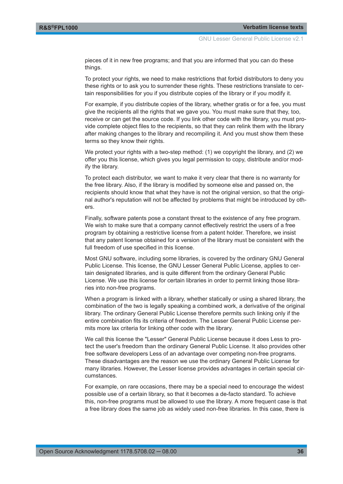pieces of it in new free programs; and that you are informed that you can do these things.

To protect your rights, we need to make restrictions that forbid distributors to deny you these rights or to ask you to surrender these rights. These restrictions translate to certain responsibilities for you if you distribute copies of the library or if you modify it.

For example, if you distribute copies of the library, whether gratis or for a fee, you must give the recipients all the rights that we gave you. You must make sure that they, too, receive or can get the source code. If you link other code with the library, you must provide complete object files to the recipients, so that they can relink them with the library after making changes to the library and recompiling it. And you must show them these terms so they know their rights.

We protect your rights with a two-step method: (1) we copyright the library, and (2) we offer you this license, which gives you legal permission to copy, distribute and/or modify the library.

To protect each distributor, we want to make it very clear that there is no warranty for the free library. Also, if the library is modified by someone else and passed on, the recipients should know that what they have is not the original version, so that the original author's reputation will not be affected by problems that might be introduced by others.

Finally, software patents pose a constant threat to the existence of any free program. We wish to make sure that a company cannot effectively restrict the users of a free program by obtaining a restrictive license from a patent holder. Therefore, we insist that any patent license obtained for a version of the library must be consistent with the full freedom of use specified in this license.

Most GNU software, including some libraries, is covered by the ordinary GNU General Public License. This license, the GNU Lesser General Public License, applies to certain designated libraries, and is quite different from the ordinary General Public License. We use this license for certain libraries in order to permit linking those libraries into non-free programs.

When a program is linked with a library, whether statically or using a shared library, the combination of the two is legally speaking a combined work, a derivative of the original library. The ordinary General Public License therefore permits such linking only if the entire combination fits its criteria of freedom. The Lesser General Public License permits more lax criteria for linking other code with the library.

We call this license the "Lesser" General Public License because it does Less to protect the user's freedom than the ordinary General Public License. It also provides other free software developers Less of an advantage over competing non-free programs. These disadvantages are the reason we use the ordinary General Public License for many libraries. However, the Lesser license provides advantages in certain special circumstances.

For example, on rare occasions, there may be a special need to encourage the widest possible use of a certain library, so that it becomes a de-facto standard. To achieve this, non-free programs must be allowed to use the library. A more frequent case is that a free library does the same job as widely used non-free libraries. In this case, there is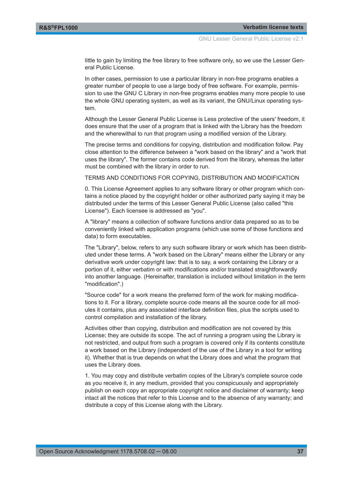little to gain by limiting the free library to free software only, so we use the Lesser General Public License.

In other cases, permission to use a particular library in non-free programs enables a greater number of people to use a large body of free software. For example, permission to use the GNU C Library in non-free programs enables many more people to use the whole GNU operating system, as well as its variant, the GNU/Linux operating system.

Although the Lesser General Public License is Less protective of the users' freedom, it does ensure that the user of a program that is linked with the Library has the freedom and the wherewithal to run that program using a modified version of the Library.

The precise terms and conditions for copying, distribution and modification follow. Pay close attention to the difference between a "work based on the library" and a "work that uses the library". The former contains code derived from the library, whereas the latter must be combined with the library in order to run.

TERMS AND CONDITIONS FOR COPYING, DISTRIBUTION AND MODIFICATION

0. This License Agreement applies to any software library or other program which contains a notice placed by the copyright holder or other authorized party saying it may be distributed under the terms of this Lesser General Public License (also called "this License"). Each licensee is addressed as "you".

A "library" means a collection of software functions and/or data prepared so as to be conveniently linked with application programs (which use some of those functions and data) to form executables.

The "Library", below, refers to any such software library or work which has been distributed under these terms. A "work based on the Library" means either the Library or any derivative work under copyright law: that is to say, a work containing the Library or a portion of it, either verbatim or with modifications and/or translated straightforwardly into another language. (Hereinafter, translation is included without limitation in the term "modification".)

"Source code" for a work means the preferred form of the work for making modifications to it. For a library, complete source code means all the source code for all modules it contains, plus any associated interface definition files, plus the scripts used to control compilation and installation of the library.

Activities other than copying, distribution and modification are not covered by this License; they are outside its scope. The act of running a program using the Library is not restricted, and output from such a program is covered only if its contents constitute a work based on the Library (independent of the use of the Library in a tool for writing it). Whether that is true depends on what the Library does and what the program that uses the Library does.

1. You may copy and distribute verbatim copies of the Library's complete source code as you receive it, in any medium, provided that you conspicuously and appropriately publish on each copy an appropriate copyright notice and disclaimer of warranty; keep intact all the notices that refer to this License and to the absence of any warranty; and distribute a copy of this License along with the Library.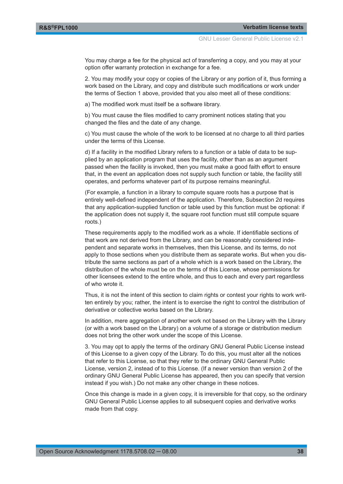You may charge a fee for the physical act of transferring a copy, and you may at your option offer warranty protection in exchange for a fee.

2. You may modify your copy or copies of the Library or any portion of it, thus forming a work based on the Library, and copy and distribute such modifications or work under the terms of Section 1 above, provided that you also meet all of these conditions:

a) The modified work must itself be a software library.

b) You must cause the files modified to carry prominent notices stating that you changed the files and the date of any change.

c) You must cause the whole of the work to be licensed at no charge to all third parties under the terms of this License.

d) If a facility in the modified Library refers to a function or a table of data to be supplied by an application program that uses the facility, other than as an argument passed when the facility is invoked, then you must make a good faith effort to ensure that, in the event an application does not supply such function or table, the facility still operates, and performs whatever part of its purpose remains meaningful.

(For example, a function in a library to compute square roots has a purpose that is entirely well-defined independent of the application. Therefore, Subsection 2d requires that any application-supplied function or table used by this function must be optional: if the application does not supply it, the square root function must still compute square roots.)

These requirements apply to the modified work as a whole. If identifiable sections of that work are not derived from the Library, and can be reasonably considered independent and separate works in themselves, then this License, and its terms, do not apply to those sections when you distribute them as separate works. But when you distribute the same sections as part of a whole which is a work based on the Library, the distribution of the whole must be on the terms of this License, whose permissions for other licensees extend to the entire whole, and thus to each and every part regardless of who wrote it.

Thus, it is not the intent of this section to claim rights or contest your rights to work written entirely by you; rather, the intent is to exercise the right to control the distribution of derivative or collective works based on the Library.

In addition, mere aggregation of another work not based on the Library with the Library (or with a work based on the Library) on a volume of a storage or distribution medium does not bring the other work under the scope of this License.

3. You may opt to apply the terms of the ordinary GNU General Public License instead of this License to a given copy of the Library. To do this, you must alter all the notices that refer to this License, so that they refer to the ordinary GNU General Public License, version 2, instead of to this License. (If a newer version than version 2 of the ordinary GNU General Public License has appeared, then you can specify that version instead if you wish.) Do not make any other change in these notices.

Once this change is made in a given copy, it is irreversible for that copy, so the ordinary GNU General Public License applies to all subsequent copies and derivative works made from that copy.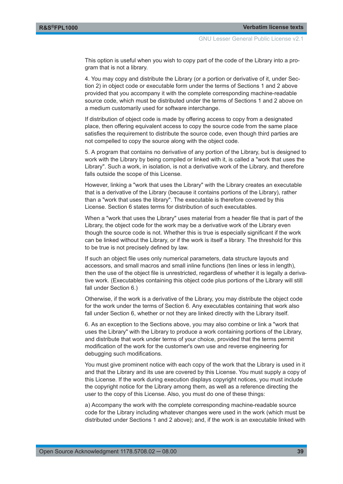This option is useful when you wish to copy part of the code of the Library into a program that is not a library.

4. You may copy and distribute the Library (or a portion or derivative of it, under Section 2) in object code or executable form under the terms of Sections 1 and 2 above provided that you accompany it with the complete corresponding machine-readable source code, which must be distributed under the terms of Sections 1 and 2 above on a medium customarily used for software interchange.

If distribution of object code is made by offering access to copy from a designated place, then offering equivalent access to copy the source code from the same place satisfies the requirement to distribute the source code, even though third parties are not compelled to copy the source along with the object code.

5. A program that contains no derivative of any portion of the Library, but is designed to work with the Library by being compiled or linked with it, is called a "work that uses the Library". Such a work, in isolation, is not a derivative work of the Library, and therefore falls outside the scope of this License.

However, linking a "work that uses the Library" with the Library creates an executable that is a derivative of the Library (because it contains portions of the Library), rather than a "work that uses the library". The executable is therefore covered by this License. Section 6 states terms for distribution of such executables.

When a "work that uses the Library" uses material from a header file that is part of the Library, the object code for the work may be a derivative work of the Library even though the source code is not. Whether this is true is especially significant if the work can be linked without the Library, or if the work is itself a library. The threshold for this to be true is not precisely defined by law.

If such an object file uses only numerical parameters, data structure layouts and accessors, and small macros and small inline functions (ten lines or less in length), then the use of the object file is unrestricted, regardless of whether it is legally a derivative work. (Executables containing this object code plus portions of the Library will still fall under Section 6.)

Otherwise, if the work is a derivative of the Library, you may distribute the object code for the work under the terms of Section 6. Any executables containing that work also fall under Section 6, whether or not they are linked directly with the Library itself.

6. As an exception to the Sections above, you may also combine or link a "work that uses the Library" with the Library to produce a work containing portions of the Library, and distribute that work under terms of your choice, provided that the terms permit modification of the work for the customer's own use and reverse engineering for debugging such modifications.

You must give prominent notice with each copy of the work that the Library is used in it and that the Library and its use are covered by this License. You must supply a copy of this License. If the work during execution displays copyright notices, you must include the copyright notice for the Library among them, as well as a reference directing the user to the copy of this License. Also, you must do one of these things:

a) Accompany the work with the complete corresponding machine-readable source code for the Library including whatever changes were used in the work (which must be distributed under Sections 1 and 2 above); and, if the work is an executable linked with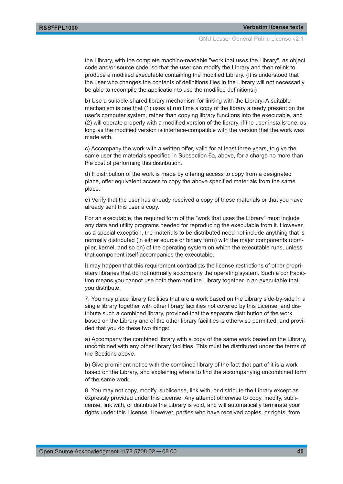the Library, with the complete machine-readable "work that uses the Library", as object code and/or source code, so that the user can modify the Library and then relink to produce a modified executable containing the modified Library. (It is understood that the user who changes the contents of definitions files in the Library will not necessarily be able to recompile the application to use the modified definitions.)

b) Use a suitable shared library mechanism for linking with the Library. A suitable mechanism is one that (1) uses at run time a copy of the library already present on the user's computer system, rather than copying library functions into the executable, and (2) will operate properly with a modified version of the library, if the user installs one, as long as the modified version is interface-compatible with the version that the work was made with.

c) Accompany the work with a written offer, valid for at least three years, to give the same user the materials specified in Subsection 6a, above, for a charge no more than the cost of performing this distribution.

d) If distribution of the work is made by offering access to copy from a designated place, offer equivalent access to copy the above specified materials from the same place.

e) Verify that the user has already received a copy of these materials or that you have already sent this user a copy.

For an executable, the required form of the "work that uses the Library" must include any data and utility programs needed for reproducing the executable from it. However, as a special exception, the materials to be distributed need not include anything that is normally distributed (in either source or binary form) with the major components (compiler, kernel, and so on) of the operating system on which the executable runs, unless that component itself accompanies the executable.

It may happen that this requirement contradicts the license restrictions of other proprietary libraries that do not normally accompany the operating system. Such a contradiction means you cannot use both them and the Library together in an executable that you distribute.

7. You may place library facilities that are a work based on the Library side-by-side in a single library together with other library facilities not covered by this License, and distribute such a combined library, provided that the separate distribution of the work based on the Library and of the other library facilities is otherwise permitted, and provided that you do these two things:

a) Accompany the combined library with a copy of the same work based on the Library, uncombined with any other library facilities. This must be distributed under the terms of the Sections above.

b) Give prominent notice with the combined library of the fact that part of it is a work based on the Library, and explaining where to find the accompanying uncombined form of the same work.

8. You may not copy, modify, sublicense, link with, or distribute the Library except as expressly provided under this License. Any attempt otherwise to copy, modify, sublicense, link with, or distribute the Library is void, and will automatically terminate your rights under this License. However, parties who have received copies, or rights, from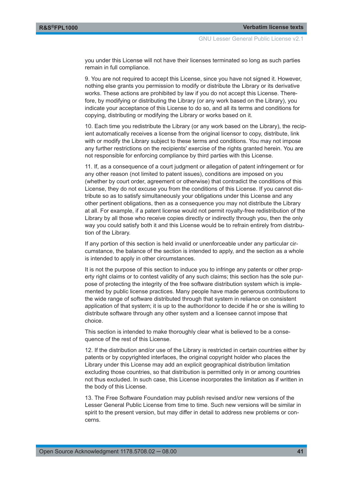you under this License will not have their licenses terminated so long as such parties remain in full compliance.

9. You are not required to accept this License, since you have not signed it. However, nothing else grants you permission to modify or distribute the Library or its derivative works. These actions are prohibited by law if you do not accept this License. Therefore, by modifying or distributing the Library (or any work based on the Library), you indicate your acceptance of this License to do so, and all its terms and conditions for copying, distributing or modifying the Library or works based on it.

10. Each time you redistribute the Library (or any work based on the Library), the recipient automatically receives a license from the original licensor to copy, distribute, link with or modify the Library subject to these terms and conditions. You may not impose any further restrictions on the recipients' exercise of the rights granted herein. You are not responsible for enforcing compliance by third parties with this License.

11. If, as a consequence of a court judgment or allegation of patent infringement or for any other reason (not limited to patent issues), conditions are imposed on you (whether by court order, agreement or otherwise) that contradict the conditions of this License, they do not excuse you from the conditions of this License. If you cannot distribute so as to satisfy simultaneously your obligations under this License and any other pertinent obligations, then as a consequence you may not distribute the Library at all. For example, if a patent license would not permit royalty-free redistribution of the Library by all those who receive copies directly or indirectly through you, then the only way you could satisfy both it and this License would be to refrain entirely from distribution of the Library.

If any portion of this section is held invalid or unenforceable under any particular circumstance, the balance of the section is intended to apply, and the section as a whole is intended to apply in other circumstances.

It is not the purpose of this section to induce you to infringe any patents or other property right claims or to contest validity of any such claims; this section has the sole purpose of protecting the integrity of the free software distribution system which is implemented by public license practices. Many people have made generous contributions to the wide range of software distributed through that system in reliance on consistent application of that system; it is up to the author/donor to decide if he or she is willing to distribute software through any other system and a licensee cannot impose that choice.

This section is intended to make thoroughly clear what is believed to be a consequence of the rest of this License.

12. If the distribution and/or use of the Library is restricted in certain countries either by patents or by copyrighted interfaces, the original copyright holder who places the Library under this License may add an explicit geographical distribution limitation excluding those countries, so that distribution is permitted only in or among countries not thus excluded. In such case, this License incorporates the limitation as if written in the body of this License.

13. The Free Software Foundation may publish revised and/or new versions of the Lesser General Public License from time to time. Such new versions will be similar in spirit to the present version, but may differ in detail to address new problems or concerns.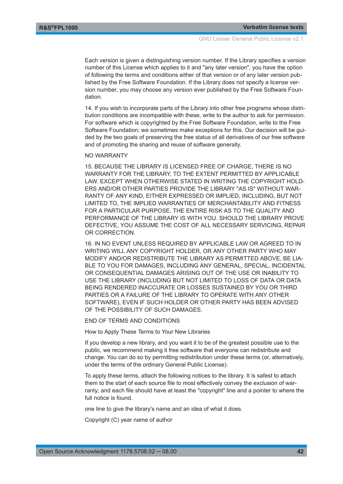Each version is given a distinguishing version number. If the Library specifies a version number of this License which applies to it and "any later version", you have the option of following the terms and conditions either of that version or of any later version published by the Free Software Foundation. If the Library does not specify a license version number, you may choose any version ever published by the Free Software Foundation.

14. If you wish to incorporate parts of the Library into other free programs whose distribution conditions are incompatible with these, write to the author to ask for permission. For software which is copyrighted by the Free Software Foundation, write to the Free Software Foundation; we sometimes make exceptions for this. Our decision will be guided by the two goals of preserving the free status of all derivatives of our free software and of promoting the sharing and reuse of software generally.

#### NO WARRANTY

15. BECAUSE THE LIBRARY IS LICENSED FREE OF CHARGE, THERE IS NO WARRANTY FOR THE LIBRARY, TO THE EXTENT PERMITTED BY APPLICABLE LAW. EXCEPT WHEN OTHERWISE STATED IN WRITING THE COPYRIGHT HOLD-ERS AND/OR OTHER PARTIES PROVIDE THE LIBRARY "AS IS" WITHOUT WAR-RANTY OF ANY KIND, EITHER EXPRESSED OR IMPLIED, INCLUDING, BUT NOT LIMITED TO, THE IMPLIED WARRANTIES OF MERCHANTABILITY AND FITNESS FOR A PARTICULAR PURPOSE. THE ENTIRE RISK AS TO THE QUALITY AND PERFORMANCE OF THE LIBRARY IS WITH YOU. SHOULD THE LIBRARY PROVE DEFECTIVE, YOU ASSUME THE COST OF ALL NECESSARY SERVICING, REPAIR OR CORRECTION.

16. IN NO EVENT UNLESS REQUIRED BY APPLICABLE LAW OR AGREED TO IN WRITING WILL ANY COPYRIGHT HOLDER, OR ANY OTHER PARTY WHO MAY MODIFY AND/OR REDISTRIBUTE THE LIBRARY AS PERMITTED ABOVE, BE LIA-BLE TO YOU FOR DAMAGES, INCLUDING ANY GENERAL, SPECIAL, INCIDENTAL OR CONSEQUENTIAL DAMAGES ARISING OUT OF THE USE OR INABILITY TO USE THE LIBRARY (INCLUDING BUT NOT LIMITED TO LOSS OF DATA OR DATA BEING RENDERED INACCURATE OR LOSSES SUSTAINED BY YOU OR THIRD PARTIES OR A FAILURE OF THE LIBRARY TO OPERATE WITH ANY OTHER SOFTWARE), EVEN IF SUCH HOLDER OR OTHER PARTY HAS BEEN ADVISED OF THE POSSIBILITY OF SUCH DAMAGES.

#### END OF TERMS AND CONDITIONS

How to Apply These Terms to Your New Libraries

If you develop a new library, and you want it to be of the greatest possible use to the public, we recommend making it free software that everyone can redistribute and change. You can do so by permitting redistribution under these terms (or, alternatively, under the terms of the ordinary General Public License).

To apply these terms, attach the following notices to the library. It is safest to attach them to the start of each source file to most effectively convey the exclusion of warranty; and each file should have at least the "copyright" line and a pointer to where the full notice is found.

one line to give the library's name and an idea of what it does.

Copyright (C) year name of author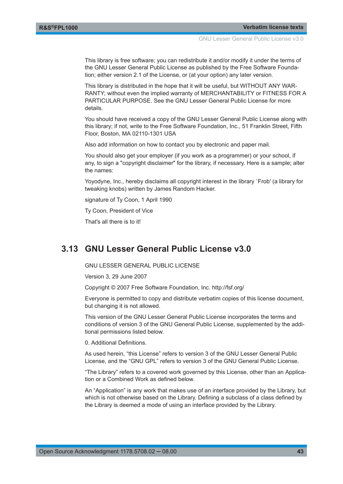<span id="page-42-0"></span>This library is free software; you can redistribute it and/or modify it under the terms of the GNU Lesser General Public License as published by the Free Software Foundation; either version 2.1 of the License, or (at your option) any later version.

This library is distributed in the hope that it will be useful, but WITHOUT ANY WAR-RANTY; without even the implied warranty of MERCHANTABILITY or FITNESS FOR A PARTICULAR PURPOSE. See the GNU Lesser General Public License for more details.

You should have received a copy of the GNU Lesser General Public License along with this library; if not, write to the Free Software Foundation, Inc., 51 Franklin Street, Fifth Floor, Boston, MA 02110-1301 USA

Also add information on how to contact you by electronic and paper mail.

You should also get your employer (if you work as a programmer) or your school, if any, to sign a "copyright disclaimer" for the library, if necessary. Here is a sample; alter the names:

Yoyodyne, Inc., hereby disclaims all copyright interest in the library `Frob' (a library for tweaking knobs) written by James Random Hacker.

signature of Ty Coon, 1 April 1990

Ty Coon, President of Vice

That's all there is to it!

## **3.13 GNU Lesser General Public License v3.0**

GNU LESSER GENERAL PUBLIC LICENSE

Version 3, 29 June 2007

Copyright © 2007 Free Software Foundation, Inc. http://fsf.org/

Everyone is permitted to copy and distribute verbatim copies of this license document, but changing it is not allowed.

This version of the GNU Lesser General Public License incorporates the terms and conditions of version 3 of the GNU General Public License, supplemented by the additional permissions listed below.

0. Additional Definitions.

As used herein, "this License" refers to version 3 of the GNU Lesser General Public License, and the "GNU GPL" refers to version 3 of the GNU General Public License.

"The Library" refers to a covered work governed by this License, other than an Application or a Combined Work as defined below.

An "Application" is any work that makes use of an interface provided by the Library, but which is not otherwise based on the Library. Defining a subclass of a class defined by the Library is deemed a mode of using an interface provided by the Library.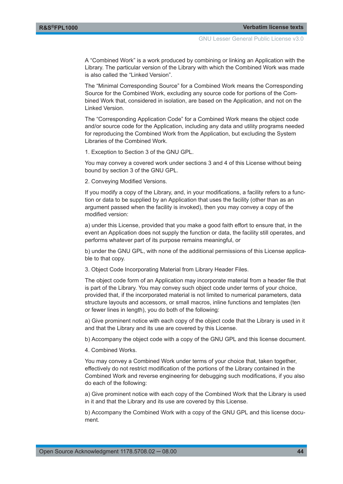A "Combined Work" is a work produced by combining or linking an Application with the Library. The particular version of the Library with which the Combined Work was made is also called the "Linked Version".

The "Minimal Corresponding Source" for a Combined Work means the Corresponding Source for the Combined Work, excluding any source code for portions of the Combined Work that, considered in isolation, are based on the Application, and not on the Linked Version.

The "Corresponding Application Code" for a Combined Work means the object code and/or source code for the Application, including any data and utility programs needed for reproducing the Combined Work from the Application, but excluding the System Libraries of the Combined Work.

1. Exception to Section 3 of the GNU GPL.

You may convey a covered work under sections 3 and 4 of this License without being bound by section 3 of the GNU GPL.

2. Conveying Modified Versions.

If you modify a copy of the Library, and, in your modifications, a facility refers to a function or data to be supplied by an Application that uses the facility (other than as an argument passed when the facility is invoked), then you may convey a copy of the modified version:

a) under this License, provided that you make a good faith effort to ensure that, in the event an Application does not supply the function or data, the facility still operates, and performs whatever part of its purpose remains meaningful, or

b) under the GNU GPL, with none of the additional permissions of this License applicable to that copy.

3. Object Code Incorporating Material from Library Header Files.

The object code form of an Application may incorporate material from a header file that is part of the Library. You may convey such object code under terms of your choice, provided that, if the incorporated material is not limited to numerical parameters, data structure layouts and accessors, or small macros, inline functions and templates (ten or fewer lines in length), you do both of the following:

a) Give prominent notice with each copy of the object code that the Library is used in it and that the Library and its use are covered by this License.

b) Accompany the object code with a copy of the GNU GPL and this license document.

4. Combined Works.

You may convey a Combined Work under terms of your choice that, taken together, effectively do not restrict modification of the portions of the Library contained in the Combined Work and reverse engineering for debugging such modifications, if you also do each of the following:

a) Give prominent notice with each copy of the Combined Work that the Library is used in it and that the Library and its use are covered by this License.

b) Accompany the Combined Work with a copy of the GNU GPL and this license document.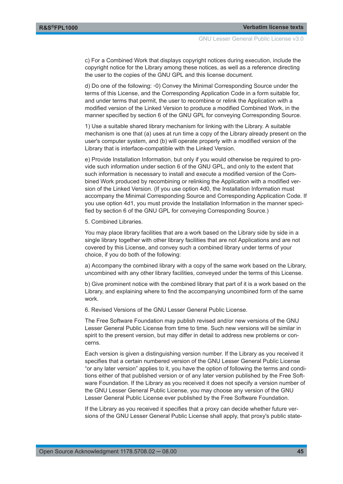c) For a Combined Work that displays copyright notices during execution, include the copyright notice for the Library among these notices, as well as a reference directing the user to the copies of the GNU GPL and this license document.

d) Do one of the following: ◦0) Convey the Minimal Corresponding Source under the terms of this License, and the Corresponding Application Code in a form suitable for, and under terms that permit, the user to recombine or relink the Application with a modified version of the Linked Version to produce a modified Combined Work, in the manner specified by section 6 of the GNU GPL for conveying Corresponding Source.

1) Use a suitable shared library mechanism for linking with the Library. A suitable mechanism is one that (a) uses at run time a copy of the Library already present on the user's computer system, and (b) will operate properly with a modified version of the Library that is interface-compatible with the Linked Version.

e) Provide Installation Information, but only if you would otherwise be required to provide such information under section 6 of the GNU GPL, and only to the extent that such information is necessary to install and execute a modified version of the Combined Work produced by recombining or relinking the Application with a modified version of the Linked Version. (If you use option 4d0, the Installation Information must accompany the Minimal Corresponding Source and Corresponding Application Code. If you use option 4d1, you must provide the Installation Information in the manner specified by section 6 of the GNU GPL for conveying Corresponding Source.)

5. Combined Libraries.

You may place library facilities that are a work based on the Library side by side in a single library together with other library facilities that are not Applications and are not covered by this License, and convey such a combined library under terms of your choice, if you do both of the following:

a) Accompany the combined library with a copy of the same work based on the Library, uncombined with any other library facilities, conveyed under the terms of this License.

b) Give prominent notice with the combined library that part of it is a work based on the Library, and explaining where to find the accompanying uncombined form of the same work.

6. Revised Versions of the GNU Lesser General Public License.

The Free Software Foundation may publish revised and/or new versions of the GNU Lesser General Public License from time to time. Such new versions will be similar in spirit to the present version, but may differ in detail to address new problems or concerns.

Each version is given a distinguishing version number. If the Library as you received it specifies that a certain numbered version of the GNU Lesser General Public License "or any later version" applies to it, you have the option of following the terms and conditions either of that published version or of any later version published by the Free Software Foundation. If the Library as you received it does not specify a version number of the GNU Lesser General Public License, you may choose any version of the GNU Lesser General Public License ever published by the Free Software Foundation.

If the Library as you received it specifies that a proxy can decide whether future versions of the GNU Lesser General Public License shall apply, that proxy's public state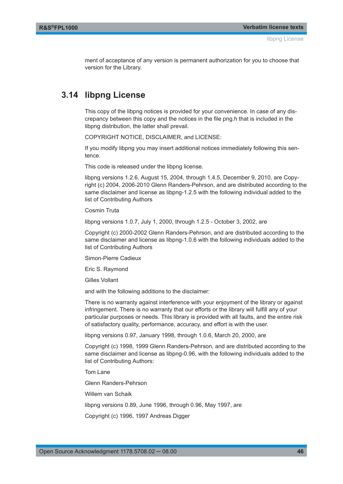<span id="page-45-0"></span>ment of acceptance of any version is permanent authorization for you to choose that version for the Library.

## **3.14 libpng License**

This copy of the libpng notices is provided for your convenience. In case of any discrepancy between this copy and the notices in the file png.h that is included in the libpng distribution, the latter shall prevail.

COPYRIGHT NOTICE, DISCLAIMER, and LICENSE:

If you modify libpng you may insert additional notices immediately following this sentence.

This code is released under the libpng license.

libpng versions 1.2.6, August 15, 2004, through 1.4.5, December 9, 2010, are Copyright (c) 2004, 2006-2010 Glenn Randers-Pehrson, and are distributed according to the same disclaimer and license as libpng-1.2.5 with the following individual added to the list of Contributing Authors

### Cosmin Truta

libpng versions 1.0.7, July 1, 2000, through 1.2.5 - October 3, 2002, are

Copyright (c) 2000-2002 Glenn Randers-Pehrson, and are distributed according to the same disclaimer and license as libpng-1.0.6 with the following individuals added to the list of Contributing Authors

Simon-Pierre Cadieux

Eric S. Raymond

Gilles Vollant

and with the following additions to the disclaimer:

There is no warranty against interference with your enjoyment of the library or against infringement. There is no warranty that our efforts or the library will fulfill any of your particular purposes or needs. This library is provided with all faults, and the entire risk of satisfactory quality, performance, accuracy, and effort is with the user.

libpng versions 0.97, January 1998, through 1.0.6, March 20, 2000, are

Copyright (c) 1998, 1999 Glenn Randers-Pehrson, and are distributed according to the same disclaimer and license as libpng-0.96, with the following individuals added to the list of Contributing Authors:

Tom Lane

Glenn Randers-Pehrson

Willem van Schaik

libpng versions 0.89, June 1996, through 0.96, May 1997, are

Copyright (c) 1996, 1997 Andreas Digger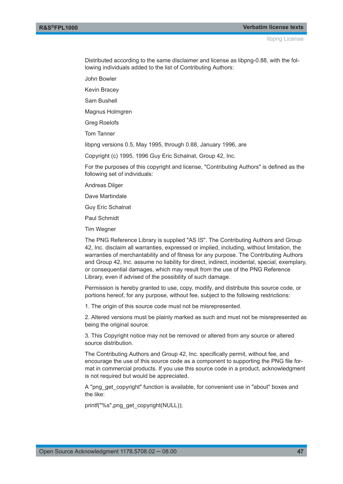Distributed according to the same disclaimer and license as libpng-0.88, with the following individuals added to the list of Contributing Authors:

John Bowler

Kevin Bracey

Sam Bushell

Magnus Holmgren

Greg Roelofs

Tom Tanner

libpng versions 0.5, May 1995, through 0.88, January 1996, are

Copyright (c) 1995, 1996 Guy Eric Schalnat, Group 42, Inc.

For the purposes of this copyright and license, "Contributing Authors" is defined as the following set of individuals:

Andreas Dilger

Dave Martindale

Guy Eric Schalnat

Paul Schmidt

Tim Wegner

The PNG Reference Library is supplied "AS IS". The Contributing Authors and Group 42, Inc. disclaim all warranties, expressed or implied, including, without limitation, the warranties of merchantability and of fitness for any purpose. The Contributing Authors and Group 42, Inc. assume no liability for direct, indirect, incidental, special, exemplary, or consequential damages, which may result from the use of the PNG Reference Library, even if advised of the possibility of such damage.

Permission is hereby granted to use, copy, modify, and distribute this source code, or portions hereof, for any purpose, without fee, subject to the following restrictions:

1. The origin of this source code must not be misrepresented.

2. Altered versions must be plainly marked as such and must not be misrepresented as being the original source.

3. This Copyright notice may not be removed or altered from any source or altered source distribution.

The Contributing Authors and Group 42, Inc. specifically permit, without fee, and encourage the use of this source code as a component to supporting the PNG file format in commercial products. If you use this source code in a product, acknowledgment is not required but would be appreciated.

A "png\_get\_copyright" function is available, for convenient use in "about" boxes and the like:

printf("%s",png\_get\_copyright(NULL));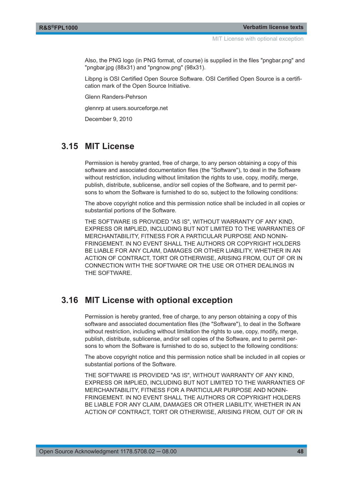<span id="page-47-0"></span>Also, the PNG logo (in PNG format, of course) is supplied in the files "pngbar.png" and "pngbar.jpg (88x31) and "pngnow.png" (98x31).

Libpng is OSI Certified Open Source Software. OSI Certified Open Source is a certification mark of the Open Source Initiative.

Glenn Randers-Pehrson

glennrp at users.sourceforge.net

December 9, 2010

## **3.15 MIT License**

Permission is hereby granted, free of charge, to any person obtaining a copy of this software and associated documentation files (the "Software"), to deal in the Software without restriction, including without limitation the rights to use, copy, modify, merge, publish, distribute, sublicense, and/or sell copies of the Software, and to permit persons to whom the Software is furnished to do so, subject to the following conditions:

The above copyright notice and this permission notice shall be included in all copies or substantial portions of the Software.

THE SOFTWARE IS PROVIDED "AS IS", WITHOUT WARRANTY OF ANY KIND, EXPRESS OR IMPLIED, INCLUDING BUT NOT LIMITED TO THE WARRANTIES OF MERCHANTABILITY, FITNESS FOR A PARTICULAR PURPOSE AND NONIN-FRINGEMENT. IN NO EVENT SHALL THE AUTHORS OR COPYRIGHT HOLDERS BE LIABLE FOR ANY CLAIM, DAMAGES OR OTHER LIABILITY, WHETHER IN AN ACTION OF CONTRACT, TORT OR OTHERWISE, ARISING FROM, OUT OF OR IN CONNECTION WITH THE SOFTWARE OR THE USE OR OTHER DEALINGS IN THE SOFTWARE.

### **3.16 MIT License with optional exception**

Permission is hereby granted, free of charge, to any person obtaining a copy of this software and associated documentation files (the "Software"), to deal in the Software without restriction, including without limitation the rights to use, copy, modify, merge, publish, distribute, sublicense, and/or sell copies of the Software, and to permit persons to whom the Software is furnished to do so, subject to the following conditions:

The above copyright notice and this permission notice shall be included in all copies or substantial portions of the Software.

THE SOFTWARE IS PROVIDED "AS IS", WITHOUT WARRANTY OF ANY KIND, EXPRESS OR IMPLIED, INCLUDING BUT NOT LIMITED TO THE WARRANTIES OF MERCHANTABILITY, FITNESS FOR A PARTICULAR PURPOSE AND NONIN-FRINGEMENT. IN NO EVENT SHALL THE AUTHORS OR COPYRIGHT HOLDERS BE LIABLE FOR ANY CLAIM, DAMAGES OR OTHER LIABILITY, WHETHER IN AN ACTION OF CONTRACT, TORT OR OTHERWISE, ARISING FROM, OUT OF OR IN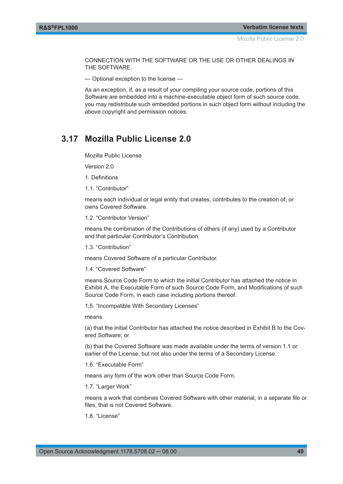<span id="page-48-0"></span>CONNECTION WITH THE SOFTWARE OR THE USE OR OTHER DEALINGS IN THE SOFTWARE.

--- Optional exception to the license ---

As an exception, if, as a result of your compiling your source code, portions of this Software are embedded into a machine-executable object form of such source code, you may redistribute such embedded portions in such object form without including the above copyright and permission notices.

## **3.17 Mozilla Public License 2.0**

Mozilla Public License

Version 2.0

1. Definitions

1.1. "Contributor"

means each individual or legal entity that creates, contributes to the creation of, or owns Covered Software.

1.2. "Contributor Version"

means the combination of the Contributions of others (if any) used by a Contributor and that particular Contributor's Contribution.

1.3. "Contribution"

means Covered Software of a particular Contributor.

1.4. "Covered Software"

means Source Code Form to which the initial Contributor has attached the notice in Exhibit A, the Executable Form of such Source Code Form, and Modifications of such Source Code Form, in each case including portions thereof.

1.5. "Incompatible With Secondary Licenses"

means

(a) that the initial Contributor has attached the notice described in Exhibit B to the Covered Software; or

(b) that the Covered Software was made available under the terms of version 1.1 or earlier of the License, but not also under the terms of a Secondary License.

1.6. "Executable Form"

means any form of the work other than Source Code Form.

1.7. "Larger Work"

means a work that combines Covered Software with other material, in a separate file or files, that is not Covered Software.

1.8. "License"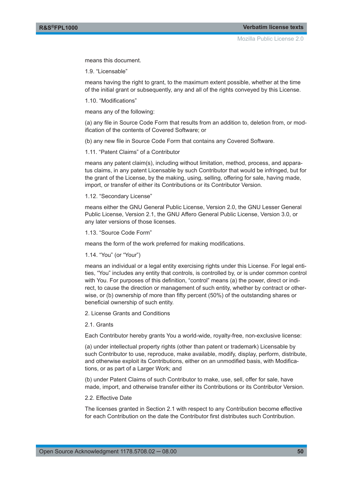means this document.

1.9. "Licensable"

means having the right to grant, to the maximum extent possible, whether at the time of the initial grant or subsequently, any and all of the rights conveyed by this License.

1.10. "Modifications"

means any of the following:

(a) any file in Source Code Form that results from an addition to, deletion from, or modification of the contents of Covered Software; or

(b) any new file in Source Code Form that contains any Covered Software.

1.11. "Patent Claims" of a Contributor

means any patent claim(s), including without limitation, method, process, and apparatus claims, in any patent Licensable by such Contributor that would be infringed, but for the grant of the License, by the making, using, selling, offering for sale, having made, import, or transfer of either its Contributions or its Contributor Version.

#### 1.12. "Secondary License"

means either the GNU General Public License, Version 2.0, the GNU Lesser General Public License, Version 2.1, the GNU Affero General Public License, Version 3.0, or any later versions of those licenses.

1.13. "Source Code Form"

means the form of the work preferred for making modifications.

1.14. "You" (or "Your")

means an individual or a legal entity exercising rights under this License. For legal entities, "You" includes any entity that controls, is controlled by, or is under common control with You. For purposes of this definition, "control" means (a) the power, direct or indirect, to cause the direction or management of such entity, whether by contract or otherwise, or (b) ownership of more than fifty percent (50%) of the outstanding shares or beneficial ownership of such entity.

2. License Grants and Conditions

2.1. Grants

Each Contributor hereby grants You a world-wide, royalty-free, non-exclusive license:

(a) under intellectual property rights (other than patent or trademark) Licensable by such Contributor to use, reproduce, make available, modify, display, perform, distribute, and otherwise exploit its Contributions, either on an unmodified basis, with Modifications, or as part of a Larger Work; and

(b) under Patent Claims of such Contributor to make, use, sell, offer for sale, have made, import, and otherwise transfer either its Contributions or its Contributor Version.

#### 2.2. Effective Date

The licenses granted in Section 2.1 with respect to any Contribution become effective for each Contribution on the date the Contributor first distributes such Contribution.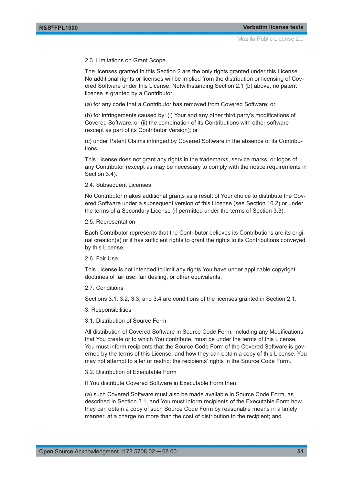#### 2.3. Limitations on Grant Scope

The licenses granted in this Section 2 are the only rights granted under this License. No additional rights or licenses will be implied from the distribution or licensing of Covered Software under this License. Notwithstanding Section 2.1 (b) above, no patent license is granted by a Contributor:

(a) for any code that a Contributor has removed from Covered Software; or

(b) for infringements caused by: (i) Your and any other third party's modifications of Covered Software, or (ii) the combination of its Contributions with other software (except as part of its Contributor Version); or

(c) under Patent Claims infringed by Covered Software in the absence of its Contributions.

This License does not grant any rights in the trademarks, service marks, or logos of any Contributor (except as may be necessary to comply with the notice requirements in Section 3.4).

#### 2.4. Subsequent Licenses

No Contributor makes additional grants as a result of Your choice to distribute the Covered Software under a subsequent version of this License (see Section 10.2) or under the terms of a Secondary License (if permitted under the terms of Section 3.3).

#### 2.5. Representation

Each Contributor represents that the Contributor believes its Contributions are its original creation(s) or it has sufficient rights to grant the rights to its Contributions conveyed by this License.

### 2.6. Fair Use

This License is not intended to limit any rights You have under applicable copyright doctrines of fair use, fair dealing, or other equivalents.

#### 2.7. Conditions

Sections 3.1, 3.2, 3.3, and 3.4 are conditions of the licenses granted in Section 2.1.

- 3. Responsibilities
- 3.1. Distribution of Source Form

All distribution of Covered Software in Source Code Form, including any Modifications that You create or to which You contribute, must be under the terms of this License. You must inform recipients that the Source Code Form of the Covered Software is governed by the terms of this License, and how they can obtain a copy of this License. You may not attempt to alter or restrict the recipients' rights in the Source Code Form.

#### 3.2. Distribution of Executable Form

If You distribute Covered Software in Executable Form then:

(a) such Covered Software must also be made available in Source Code Form, as described in Section 3.1, and You must inform recipients of the Executable Form how they can obtain a copy of such Source Code Form by reasonable means in a timely manner, at a charge no more than the cost of distribution to the recipient; and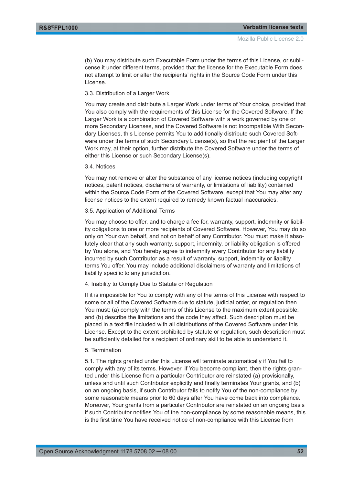(b) You may distribute such Executable Form under the terms of this License, or sublicense it under different terms, provided that the license for the Executable Form does not attempt to limit or alter the recipients' rights in the Source Code Form under this License.

#### 3.3. Distribution of a Larger Work

You may create and distribute a Larger Work under terms of Your choice, provided that You also comply with the requirements of this License for the Covered Software. If the Larger Work is a combination of Covered Software with a work governed by one or more Secondary Licenses, and the Covered Software is not Incompatible With Secondary Licenses, this License permits You to additionally distribute such Covered Software under the terms of such Secondary License(s), so that the recipient of the Larger Work may, at their option, further distribute the Covered Software under the terms of either this License or such Secondary License(s).

#### 3.4. Notices

You may not remove or alter the substance of any license notices (including copyright notices, patent notices, disclaimers of warranty, or limitations of liability) contained within the Source Code Form of the Covered Software, except that You may alter any license notices to the extent required to remedy known factual inaccuracies.

#### 3.5. Application of Additional Terms

You may choose to offer, and to charge a fee for, warranty, support, indemnity or liability obligations to one or more recipients of Covered Software. However, You may do so only on Your own behalf, and not on behalf of any Contributor. You must make it absolutely clear that any such warranty, support, indemnity, or liability obligation is offered by You alone, and You hereby agree to indemnify every Contributor for any liability incurred by such Contributor as a result of warranty, support, indemnity or liability terms You offer. You may include additional disclaimers of warranty and limitations of liability specific to any jurisdiction.

#### 4. Inability to Comply Due to Statute or Regulation

If it is impossible for You to comply with any of the terms of this License with respect to some or all of the Covered Software due to statute, judicial order, or regulation then You must: (a) comply with the terms of this License to the maximum extent possible; and (b) describe the limitations and the code they affect. Such description must be placed in a text file included with all distributions of the Covered Software under this License. Except to the extent prohibited by statute or regulation, such description must be sufficiently detailed for a recipient of ordinary skill to be able to understand it.

#### 5. Termination

5.1. The rights granted under this License will terminate automatically if You fail to comply with any of its terms. However, if You become compliant, then the rights granted under this License from a particular Contributor are reinstated (a) provisionally, unless and until such Contributor explicitly and finally terminates Your grants, and (b) on an ongoing basis, if such Contributor fails to notify You of the non-compliance by some reasonable means prior to 60 days after You have come back into compliance. Moreover, Your grants from a particular Contributor are reinstated on an ongoing basis if such Contributor notifies You of the non-compliance by some reasonable means, this is the first time You have received notice of non-compliance with this License from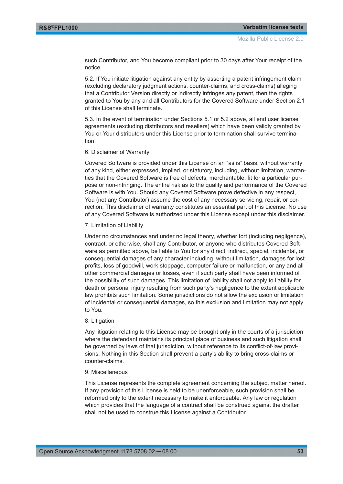such Contributor, and You become compliant prior to 30 days after Your receipt of the notice.

5.2. If You initiate litigation against any entity by asserting a patent infringement claim (excluding declaratory judgment actions, counter-claims, and cross-claims) alleging that a Contributor Version directly or indirectly infringes any patent, then the rights granted to You by any and all Contributors for the Covered Software under Section 2.1 of this License shall terminate.

5.3. In the event of termination under Sections 5.1 or 5.2 above, all end user license agreements (excluding distributors and resellers) which have been validly granted by You or Your distributors under this License prior to termination shall survive termination.

6. Disclaimer of Warranty

Covered Software is provided under this License on an "as is" basis, without warranty of any kind, either expressed, implied, or statutory, including, without limitation, warranties that the Covered Software is free of defects, merchantable, fit for a particular purpose or non-infringing. The entire risk as to the quality and performance of the Covered Software is with You. Should any Covered Software prove defective in any respect, You (not any Contributor) assume the cost of any necessary servicing, repair, or correction. This disclaimer of warranty constitutes an essential part of this License. No use of any Covered Software is authorized under this License except under this disclaimer.

#### 7. Limitation of Liability

Under no circumstances and under no legal theory, whether tort (including negligence), contract, or otherwise, shall any Contributor, or anyone who distributes Covered Software as permitted above, be liable to You for any direct, indirect, special, incidental, or consequential damages of any character including, without limitation, damages for lost profits, loss of goodwill, work stoppage, computer failure or malfunction, or any and all other commercial damages or losses, even if such party shall have been informed of the possibility of such damages. This limitation of liability shall not apply to liability for death or personal injury resulting from such party's negligence to the extent applicable law prohibits such limitation. Some jurisdictions do not allow the exclusion or limitation of incidental or consequential damages, so this exclusion and limitation may not apply to You.

#### 8. Litigation

Any litigation relating to this License may be brought only in the courts of a jurisdiction where the defendant maintains its principal place of business and such litigation shall be governed by laws of that jurisdiction, without reference to its conflict-of-law provisions. Nothing in this Section shall prevent a party's ability to bring cross-claims or counter-claims.

#### 9. Miscellaneous

This License represents the complete agreement concerning the subject matter hereof. If any provision of this License is held to be unenforceable, such provision shall be reformed only to the extent necessary to make it enforceable. Any law or regulation which provides that the language of a contract shall be construed against the drafter shall not be used to construe this License against a Contributor.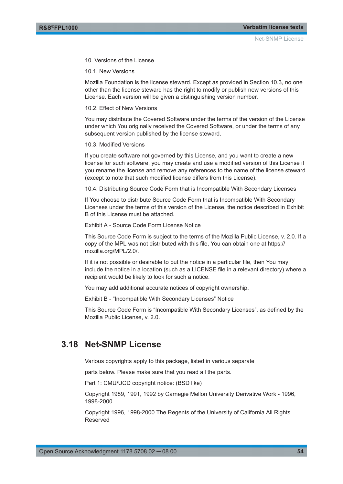<span id="page-53-0"></span>10. Versions of the License

10.1. New Versions

Mozilla Foundation is the license steward. Except as provided in Section 10.3, no one other than the license steward has the right to modify or publish new versions of this License. Each version will be given a distinguishing version number.

10.2. Effect of New Versions

You may distribute the Covered Software under the terms of the version of the License under which You originally received the Covered Software, or under the terms of any subsequent version published by the license steward.

10.3. Modified Versions

If you create software not governed by this License, and you want to create a new license for such software, you may create and use a modified version of this License if you rename the license and remove any references to the name of the license steward (except to note that such modified license differs from this License).

10.4. Distributing Source Code Form that is Incompatible With Secondary Licenses

If You choose to distribute Source Code Form that is Incompatible With Secondary Licenses under the terms of this version of the License, the notice described in Exhibit B of this License must be attached.

Exhibit A - Source Code Form License Notice

This Source Code Form is subject to the terms of the Mozilla Public License, v. 2.0. If a copy of the MPL was not distributed with this file, You can obtain one at https:// mozilla.org/MPL/2.0/.

If it is not possible or desirable to put the notice in a particular file, then You may include the notice in a location (such as a LICENSE file in a relevant directory) where a recipient would be likely to look for such a notice.

You may add additional accurate notices of copyright ownership.

Exhibit B - "Incompatible With Secondary Licenses" Notice

This Source Code Form is "Incompatible With Secondary Licenses", as defined by the Mozilla Public License, v. 2.0.

### **3.18 Net-SNMP License**

Various copyrights apply to this package, listed in various separate

parts below. Please make sure that you read all the parts.

Part 1: CMU/UCD copyright notice: (BSD like)

Copyright 1989, 1991, 1992 by Carnegie Mellon University Derivative Work - 1996, 1998-2000

Copyright 1996, 1998-2000 The Regents of the University of California All Rights Reserved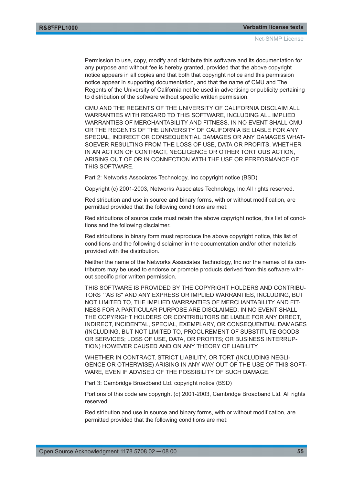Permission to use, copy, modify and distribute this software and its documentation for any purpose and without fee is hereby granted, provided that the above copyright notice appears in all copies and that both that copyright notice and this permission notice appear in supporting documentation, and that the name of CMU and The Regents of the University of California not be used in advertising or publicity pertaining to distribution of the software without specific written permission.

CMU AND THE REGENTS OF THE UNIVERSITY OF CALIFORNIA DISCLAIM ALL WARRANTIES WITH REGARD TO THIS SOFTWARE, INCLUDING ALL IMPLIED WARRANTIES OF MERCHANTABILITY AND FITNESS. IN NO EVENT SHALL CMU OR THE REGENTS OF THE UNIVERSITY OF CALIFORNIA BE LIABLE FOR ANY SPECIAL, INDIRECT OR CONSEQUENTIAL DAMAGES OR ANY DAMAGES WHAT-SOEVER RESULTING FROM THE LOSS OF USE, DATA OR PROFITS, WHETHER IN AN ACTION OF CONTRACT, NEGLIGENCE OR OTHER TORTIOUS ACTION, ARISING OUT OF OR IN CONNECTION WITH THE USE OR PERFORMANCE OF THIS SOFTWARE.

Part 2: Networks Associates Technology, Inc copyright notice (BSD)

Copyright (c) 2001-2003, Networks Associates Technology, Inc All rights reserved.

Redistribution and use in source and binary forms, with or without modification, are permitted provided that the following conditions are met:

Redistributions of source code must retain the above copyright notice, this list of conditions and the following disclaimer.

Redistributions in binary form must reproduce the above copyright notice, this list of conditions and the following disclaimer in the documentation and/or other materials provided with the distribution.

Neither the name of the Networks Associates Technology, Inc nor the names of its contributors may be used to endorse or promote products derived from this software without specific prior written permission.

THIS SOFTWARE IS PROVIDED BY THE COPYRIGHT HOLDERS AND CONTRIBU-TORS ``AS IS'' AND ANY EXPRESS OR IMPLIED WARRANTIES, INCLUDING, BUT NOT LIMITED TO, THE IMPLIED WARRANTIES OF MERCHANTABILITY AND FIT-NESS FOR A PARTICULAR PURPOSE ARE DISCLAIMED. IN NO EVENT SHALL THE COPYRIGHT HOLDERS OR CONTRIBUTORS BE LIABLE FOR ANY DIRECT, INDIRECT, INCIDENTAL, SPECIAL, EXEMPLARY, OR CONSEQUENTIAL DAMAGES (INCLUDING, BUT NOT LIMITED TO, PROCUREMENT OF SUBSTITUTE GOODS OR SERVICES; LOSS OF USE, DATA, OR PROFITS; OR BUSINESS INTERRUP-TION) HOWEVER CAUSED AND ON ANY THEORY OF LIABILITY,

WHETHER IN CONTRACT, STRICT LIABILITY, OR TORT (INCLUDING NEGLI-GENCE OR OTHERWISE) ARISING IN ANY WAY OUT OF THE USE OF THIS SOFT-WARE, EVEN IF ADVISED OF THE POSSIBILITY OF SUCH DAMAGE.

Part 3: Cambridge Broadband Ltd. copyright notice (BSD)

Portions of this code are copyright (c) 2001-2003, Cambridge Broadband Ltd. All rights reserved.

Redistribution and use in source and binary forms, with or without modification, are permitted provided that the following conditions are met: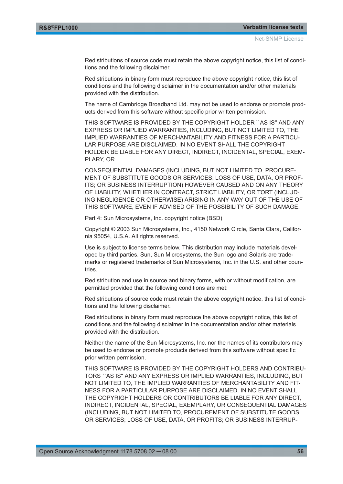Redistributions of source code must retain the above copyright notice, this list of conditions and the following disclaimer.

Redistributions in binary form must reproduce the above copyright notice, this list of conditions and the following disclaimer in the documentation and/or other materials provided with the distribution.

The name of Cambridge Broadband Ltd. may not be used to endorse or promote products derived from this software without specific prior written permission.

THIS SOFTWARE IS PROVIDED BY THE COPYRIGHT HOLDER ``AS IS'' AND ANY EXPRESS OR IMPLIED WARRANTIES, INCLUDING, BUT NOT LIMITED TO, THE IMPLIED WARRANTIES OF MERCHANTABILITY AND FITNESS FOR A PARTICU-LAR PURPOSE ARE DISCLAIMED. IN NO EVENT SHALL THE COPYRIGHT HOLDER BE LIABLE FOR ANY DIRECT, INDIRECT, INCIDENTAL, SPECIAL, EXEM-PLARY, OR

CONSEQUENTIAL DAMAGES (INCLUDING, BUT NOT LIMITED TO, PROCURE-MENT OF SUBSTITUTE GOODS OR SERVICES; LOSS OF USE, DATA, OR PROF-ITS; OR BUSINESS INTERRUPTION) HOWEVER CAUSED AND ON ANY THEORY OF LIABILITY, WHETHER IN CONTRACT, STRICT LIABILITY, OR TORT (INCLUD-ING NEGLIGENCE OR OTHERWISE) ARISING IN ANY WAY OUT OF THE USE OF THIS SOFTWARE, EVEN IF ADVISED OF THE POSSIBILITY OF SUCH DAMAGE.

Part 4: Sun Microsystems, Inc. copyright notice (BSD)

Copyright © 2003 Sun Microsystems, Inc., 4150 Network Circle, Santa Clara, California 95054, U.S.A. All rights reserved.

Use is subject to license terms below. This distribution may include materials developed by third parties. Sun, Sun Microsystems, the Sun logo and Solaris are trademarks or registered trademarks of Sun Microsystems, Inc. in the U.S. and other countries.

Redistribution and use in source and binary forms, with or without modification, are permitted provided that the following conditions are met:

Redistributions of source code must retain the above copyright notice, this list of conditions and the following disclaimer.

Redistributions in binary form must reproduce the above copyright notice, this list of conditions and the following disclaimer in the documentation and/or other materials provided with the distribution.

Neither the name of the Sun Microsystems, Inc. nor the names of its contributors may be used to endorse or promote products derived from this software without specific prior written permission.

THIS SOFTWARE IS PROVIDED BY THE COPYRIGHT HOLDERS AND CONTRIBU-TORS ``AS IS'' AND ANY EXPRESS OR IMPLIED WARRANTIES, INCLUDING, BUT NOT LIMITED TO, THE IMPLIED WARRANTIES OF MERCHANTABILITY AND FIT-NESS FOR A PARTICULAR PURPOSE ARE DISCLAIMED. IN NO EVENT SHALL THE COPYRIGHT HOLDERS OR CONTRIBUTORS BE LIABLE FOR ANY DIRECT, INDIRECT, INCIDENTAL, SPECIAL, EXEMPLARY, OR CONSEQUENTIAL DAMAGES (INCLUDING, BUT NOT LIMITED TO, PROCUREMENT OF SUBSTITUTE GOODS OR SERVICES; LOSS OF USE, DATA, OR PROFITS; OR BUSINESS INTERRUP-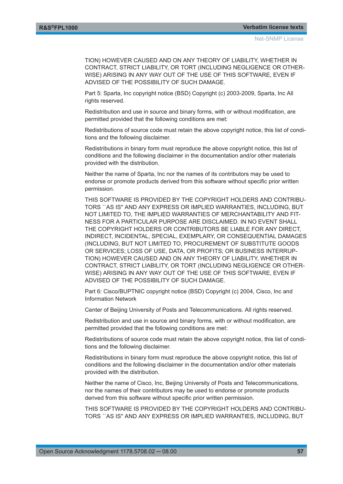TION) HOWEVER CAUSED AND ON ANY THEORY OF LIABILITY, WHETHER IN CONTRACT, STRICT LIABILITY, OR TORT (INCLUDING NEGLIGENCE OR OTHER-WISE) ARISING IN ANY WAY OUT OF THE USE OF THIS SOFTWARE, EVEN IF ADVISED OF THE POSSIBILITY OF SUCH DAMAGE.

Part 5: Sparta, Inc copyright notice (BSD) Copyright (c) 2003-2009, Sparta, Inc All rights reserved.

Redistribution and use in source and binary forms, with or without modification, are permitted provided that the following conditions are met:

Redistributions of source code must retain the above copyright notice, this list of conditions and the following disclaimer.

Redistributions in binary form must reproduce the above copyright notice, this list of conditions and the following disclaimer in the documentation and/or other materials provided with the distribution.

Neither the name of Sparta, Inc nor the names of its contributors may be used to endorse or promote products derived from this software without specific prior written permission.

THIS SOFTWARE IS PROVIDED BY THE COPYRIGHT HOLDERS AND CONTRIBU-TORS ``AS IS'' AND ANY EXPRESS OR IMPLIED WARRANTIES, INCLUDING, BUT NOT LIMITED TO, THE IMPLIED WARRANTIES OF MERCHANTABILITY AND FIT-NESS FOR A PARTICULAR PURPOSE ARE DISCLAIMED. IN NO EVENT SHALL THE COPYRIGHT HOLDERS OR CONTRIBUTORS BE LIABLE FOR ANY DIRECT, INDIRECT, INCIDENTAL, SPECIAL, EXEMPLARY, OR CONSEQUENTIAL DAMAGES (INCLUDING, BUT NOT LIMITED TO, PROCUREMENT OF SUBSTITUTE GOODS OR SERVICES; LOSS OF USE, DATA, OR PROFITS; OR BUSINESS INTERRUP-TION) HOWEVER CAUSED AND ON ANY THEORY OF LIABILITY, WHETHER IN CONTRACT, STRICT LIABILITY, OR TORT (INCLUDING NEGLIGENCE OR OTHER-WISE) ARISING IN ANY WAY OUT OF THE USE OF THIS SOFTWARE, EVEN IF ADVISED OF THE POSSIBILITY OF SUCH DAMAGE.

Part 6: Cisco/BUPTNIC copyright notice (BSD) Copyright (c) 2004, Cisco, Inc and Information Network

Center of Beijing University of Posts and Telecommunications. All rights reserved.

Redistribution and use in source and binary forms, with or without modification, are permitted provided that the following conditions are met:

Redistributions of source code must retain the above copyright notice, this list of conditions and the following disclaimer.

Redistributions in binary form must reproduce the above copyright notice, this list of conditions and the following disclaimer in the documentation and/or other materials provided with the distribution.

Neither the name of Cisco, Inc, Beijing University of Posts and Telecommunications, nor the names of their contributors may be used to endorse or promote products derived from this software without specific prior written permission.

THIS SOFTWARE IS PROVIDED BY THE COPYRIGHT HOLDERS AND CONTRIBU-TORS ``AS IS'' AND ANY EXPRESS OR IMPLIED WARRANTIES, INCLUDING, BUT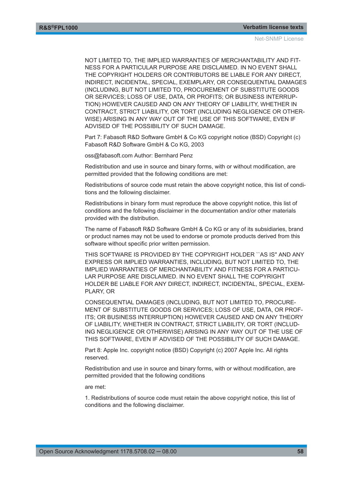NOT LIMITED TO, THE IMPLIED WARRANTIES OF MERCHANTABILITY AND FIT-NESS FOR A PARTICULAR PURPOSE ARE DISCLAIMED. IN NO EVENT SHALL THE COPYRIGHT HOLDERS OR CONTRIBUTORS BE LIABLE FOR ANY DIRECT, INDIRECT, INCIDENTAL, SPECIAL, EXEMPLARY, OR CONSEQUENTIAL DAMAGES (INCLUDING, BUT NOT LIMITED TO, PROCUREMENT OF SUBSTITUTE GOODS OR SERVICES; LOSS OF USE, DATA, OR PROFITS; OR BUSINESS INTERRUP-TION) HOWEVER CAUSED AND ON ANY THEORY OF LIABILITY, WHETHER IN CONTRACT, STRICT LIABILITY, OR TORT (INCLUDING NEGLIGENCE OR OTHER-WISE) ARISING IN ANY WAY OUT OF THE USE OF THIS SOFTWARE, EVEN IF ADVISED OF THE POSSIBILITY OF SUCH DAMAGE.

Part 7: Fabasoft R&D Software GmbH & Co KG copyright notice (BSD) Copyright (c) Fabasoft R&D Software GmbH & Co KG, 2003

oss@fabasoft.com Author: Bernhard Penz

Redistribution and use in source and binary forms, with or without modification, are permitted provided that the following conditions are met:

Redistributions of source code must retain the above copyright notice, this list of conditions and the following disclaimer.

Redistributions in binary form must reproduce the above copyright notice, this list of conditions and the following disclaimer in the documentation and/or other materials provided with the distribution.

The name of Fabasoft R&D Software GmbH & Co KG or any of its subsidiaries, brand or product names may not be used to endorse or promote products derived from this software without specific prior written permission.

THIS SOFTWARE IS PROVIDED BY THE COPYRIGHT HOLDER ``AS IS'' AND ANY EXPRESS OR IMPLIED WARRANTIES, INCLUDING, BUT NOT LIMITED TO, THE IMPLIED WARRANTIES OF MERCHANTABILITY AND FITNESS FOR A PARTICU-LAR PURPOSE ARE DISCLAIMED. IN NO EVENT SHALL THE COPYRIGHT HOLDER BE LIABLE FOR ANY DIRECT, INDIRECT, INCIDENTAL, SPECIAL, EXEM-PLARY, OR

CONSEQUENTIAL DAMAGES (INCLUDING, BUT NOT LIMITED TO, PROCURE-MENT OF SUBSTITUTE GOODS OR SERVICES; LOSS OF USE, DATA, OR PROF-ITS; OR BUSINESS INTERRUPTION) HOWEVER CAUSED AND ON ANY THEORY OF LIABILITY, WHETHER IN CONTRACT, STRICT LIABILITY, OR TORT (INCLUD-ING NEGLIGENCE OR OTHERWISE) ARISING IN ANY WAY OUT OF THE USE OF THIS SOFTWARE, EVEN IF ADVISED OF THE POSSIBILITY OF SUCH DAMAGE.

Part 8: Apple Inc. copyright notice (BSD) Copyright (c) 2007 Apple Inc. All rights reserved.

Redistribution and use in source and binary forms, with or without modification, are permitted provided that the following conditions

are met:

1. Redistributions of source code must retain the above copyright notice, this list of conditions and the following disclaimer.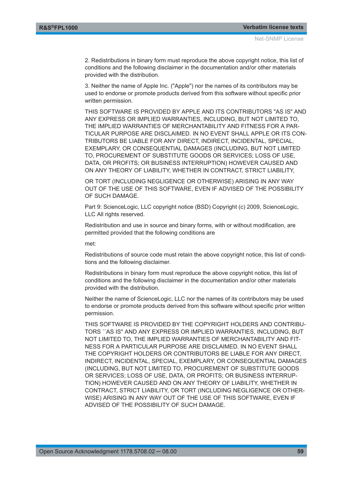2. Redistributions in binary form must reproduce the above copyright notice, this list of conditions and the following disclaimer in the documentation and/or other materials provided with the distribution.

3. Neither the name of Apple Inc. ("Apple") nor the names of its contributors may be used to endorse or promote products derived from this software without specific prior written permission.

THIS SOFTWARE IS PROVIDED BY APPLE AND ITS CONTRIBUTORS "AS IS" AND ANY EXPRESS OR IMPLIED WARRANTIES, INCLUDING, BUT NOT LIMITED TO, THE IMPLIED WARRANTIES OF MERCHANTABILITY AND FITNESS FOR A PAR-TICULAR PURPOSE ARE DISCLAIMED. IN NO EVENT SHALL APPLE OR ITS CON-TRIBUTORS BE LIABLE FOR ANY DIRECT, INDIRECT, INCIDENTAL, SPECIAL, EXEMPLARY, OR CONSEQUENTIAL DAMAGES (INCLUDING, BUT NOT LIMITED TO, PROCUREMENT OF SUBSTITUTE GOODS OR SERVICES; LOSS OF USE, DATA, OR PROFITS; OR BUSINESS INTERRUPTION) HOWEVER CAUSED AND ON ANY THEORY OF LIABILITY, WHETHER IN CONTRACT, STRICT LIABILITY,

OR TORT (INCLUDING NEGLIGENCE OR OTHERWISE) ARISING IN ANY WAY OUT OF THE USE OF THIS SOFTWARE, EVEN IF ADVISED OF THE POSSIBILITY OF SUCH DAMAGE.

Part 9: ScienceLogic, LLC copyright notice (BSD) Copyright (c) 2009, ScienceLogic, LLC All rights reserved.

Redistribution and use in source and binary forms, with or without modification, are permitted provided that the following conditions are

met:

Redistributions of source code must retain the above copyright notice, this list of conditions and the following disclaimer.

Redistributions in binary form must reproduce the above copyright notice, this list of conditions and the following disclaimer in the documentation and/or other materials provided with the distribution.

Neither the name of ScienceLogic, LLC nor the names of its contributors may be used to endorse or promote products derived from this software without specific prior written permission.

THIS SOFTWARE IS PROVIDED BY THE COPYRIGHT HOLDERS AND CONTRIBU-TORS ``AS IS'' AND ANY EXPRESS OR IMPLIED WARRANTIES, INCLUDING, BUT NOT LIMITED TO, THE IMPLIED WARRANTIES OF MERCHANTABILITY AND FIT-NESS FOR A PARTICULAR PURPOSE ARE DISCLAIMED. IN NO EVENT SHALL THE COPYRIGHT HOLDERS OR CONTRIBUTORS BE LIABLE FOR ANY DIRECT, INDIRECT, INCIDENTAL, SPECIAL, EXEMPLARY, OR CONSEQUENTIAL DAMAGES (INCLUDING, BUT NOT LIMITED TO, PROCUREMENT OF SUBSTITUTE GOODS OR SERVICES; LOSS OF USE, DATA, OR PROFITS; OR BUSINESS INTERRUP-TION) HOWEVER CAUSED AND ON ANY THEORY OF LIABILITY, WHETHER IN CONTRACT, STRICT LIABILITY, OR TORT (INCLUDING NEGLIGENCE OR OTHER-WISE) ARISING IN ANY WAY OUT OF THE USE OF THIS SOFTWARE, EVEN IF ADVISED OF THE POSSIBILITY OF SUCH DAMAGE.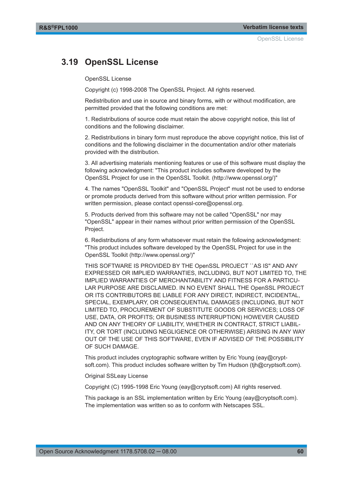## <span id="page-59-0"></span>**3.19 OpenSSL License**

OpenSSL License

Copyright (c) 1998-2008 The OpenSSL Project. All rights reserved.

Redistribution and use in source and binary forms, with or without modification, are permitted provided that the following conditions are met:

1. Redistributions of source code must retain the above copyright notice, this list of conditions and the following disclaimer.

2. Redistributions in binary form must reproduce the above copyright notice, this list of conditions and the following disclaimer in the documentation and/or other materials provided with the distribution.

3. All advertising materials mentioning features or use of this software must display the following acknowledgment: "This product includes software developed by the OpenSSL Project for use in the OpenSSL Toolkit. (http://www.openssl.org/)"

4. The names "OpenSSL Toolkit" and "OpenSSL Project" must not be used to endorse or promote products derived from this software without prior written permission. For written permission, please contact openssl-core@openssl.org.

5. Products derived from this software may not be called "OpenSSL" nor may "OpenSSL" appear in their names without prior written permission of the OpenSSL Project.

6. Redistributions of any form whatsoever must retain the following acknowledgment: "This product includes software developed by the OpenSSL Project for use in the OpenSSL Toolkit (http://www.openssl.org/)"

THIS SOFTWARE IS PROVIDED BY THE OpenSSL PROJECT ``AS IS'' AND ANY EXPRESSED OR IMPLIED WARRANTIES, INCLUDING, BUT NOT LIMITED TO, THE IMPLIED WARRANTIES OF MERCHANTABILITY AND FITNESS FOR A PARTICU-LAR PURPOSE ARE DISCLAIMED. IN NO EVENT SHALL THE OpenSSL PROJECT OR ITS CONTRIBUTORS BE LIABLE FOR ANY DIRECT, INDIRECT, INCIDENTAL, SPECIAL, EXEMPLARY, OR CONSEQUENTIAL DAMAGES (INCLUDING, BUT NOT LIMITED TO, PROCUREMENT OF SUBSTITUTE GOODS OR SERVICES; LOSS OF USE, DATA, OR PROFITS; OR BUSINESS INTERRUPTION) HOWEVER CAUSED AND ON ANY THEORY OF LIABILITY, WHETHER IN CONTRACT, STRICT LIABIL-ITY, OR TORT (INCLUDING NEGLIGENCE OR OTHERWISE) ARISING IN ANY WAY OUT OF THE USE OF THIS SOFTWARE, EVEN IF ADVISED OF THE POSSIBILITY OF SUCH DAMAGE.

This product includes cryptographic software written by Eric Young (eay@cryptsoft.com). This product includes software written by Tim Hudson (tjh@cryptsoft.com).

Original SSLeay License

Copyright (C) 1995-1998 Eric Young (eay@cryptsoft.com) All rights reserved.

This package is an SSL implementation written by Eric Young (eay@cryptsoft.com). The implementation was written so as to conform with Netscapes SSL.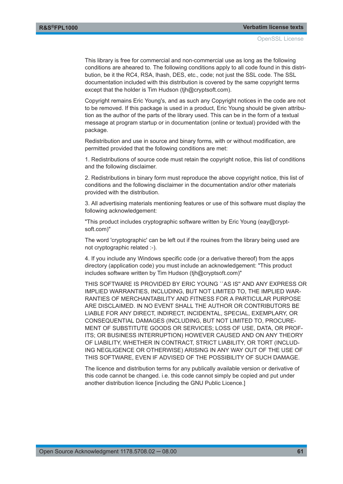This library is free for commercial and non-commercial use as long as the following conditions are aheared to. The following conditions apply to all code found in this distribution, be it the RC4, RSA, lhash, DES, etc., code; not just the SSL code. The SSL documentation included with this distribution is covered by the same copyright terms except that the holder is Tim Hudson (tjh@cryptsoft.com).

Copyright remains Eric Young's, and as such any Copyright notices in the code are not to be removed. If this package is used in a product, Eric Young should be given attribution as the author of the parts of the library used. This can be in the form of a textual message at program startup or in documentation (online or textual) provided with the package.

Redistribution and use in source and binary forms, with or without modification, are permitted provided that the following conditions are met:

1. Redistributions of source code must retain the copyright notice, this list of conditions and the following disclaimer.

2. Redistributions in binary form must reproduce the above copyright notice, this list of conditions and the following disclaimer in the documentation and/or other materials provided with the distribution.

3. All advertising materials mentioning features or use of this software must display the following acknowledgement:

"This product includes cryptographic software written by Eric Young (eay@cryptsoft.com)"

The word 'cryptographic' can be left out if the rouines from the library being used are not cryptographic related :-).

4. If you include any Windows specific code (or a derivative thereof) from the apps directory (application code) you must include an acknowledgement: "This product includes software written by Tim Hudson (tjh@cryptsoft.com)"

THIS SOFTWARE IS PROVIDED BY ERIC YOUNG ``AS IS'' AND ANY EXPRESS OR IMPLIED WARRANTIES, INCLUDING, BUT NOT LIMITED TO, THE IMPLIED WAR-RANTIES OF MERCHANTABILITY AND FITNESS FOR A PARTICULAR PURPOSE ARE DISCLAIMED. IN NO EVENT SHALL THE AUTHOR OR CONTRIBUTORS BE LIABLE FOR ANY DIRECT, INDIRECT, INCIDENTAL, SPECIAL, EXEMPLARY, OR CONSEQUENTIAL DAMAGES (INCLUDING, BUT NOT LIMITED TO, PROCURE-MENT OF SUBSTITUTE GOODS OR SERVICES; LOSS OF USE, DATA, OR PROF-ITS; OR BUSINESS INTERRUPTION) HOWEVER CAUSED AND ON ANY THEORY OF LIABILITY, WHETHER IN CONTRACT, STRICT LIABILITY, OR TORT (INCLUD-ING NEGLIGENCE OR OTHERWISE) ARISING IN ANY WAY OUT OF THE USE OF THIS SOFTWARE, EVEN IF ADVISED OF THE POSSIBILITY OF SUCH DAMAGE.

The licence and distribution terms for any publically available version or derivative of this code cannot be changed. i.e. this code cannot simply be copied and put under another distribution licence [including the GNU Public Licence.]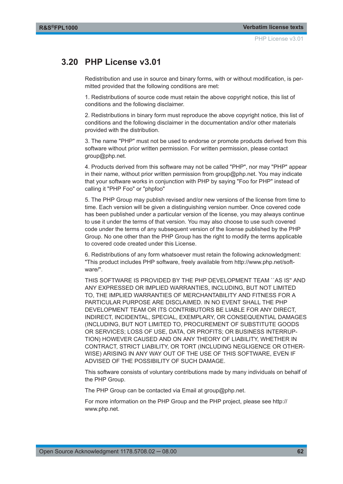## <span id="page-61-0"></span>**3.20 PHP License v3.01**

Redistribution and use in source and binary forms, with or without modification, is permitted provided that the following conditions are met:

1. Redistributions of source code must retain the above copyright notice, this list of conditions and the following disclaimer.

2. Redistributions in binary form must reproduce the above copyright notice, this list of conditions and the following disclaimer in the documentation and/or other materials provided with the distribution.

3. The name "PHP" must not be used to endorse or promote products derived from this software without prior written permission. For written permission, please contact group@php.net.

4. Products derived from this software may not be called "PHP", nor may "PHP" appear in their name, without prior written permission from group@php.net. You may indicate that your software works in conjunction with PHP by saying "Foo for PHP" instead of calling it "PHP Foo" or "phpfoo"

5. The PHP Group may publish revised and/or new versions of the license from time to time. Each version will be given a distinguishing version number. Once covered code has been published under a particular version of the license, you may always continue to use it under the terms of that version. You may also choose to use such covered code under the terms of any subsequent version of the license published by the PHP Group. No one other than the PHP Group has the right to modify the terms applicable to covered code created under this License.

6. Redistributions of any form whatsoever must retain the following acknowledgment: "This product includes PHP software, freely available from http://www.php.net/software/".

THIS SOFTWARE IS PROVIDED BY THE PHP DEVELOPMENT TEAM ``AS IS'' AND ANY EXPRESSED OR IMPLIED WARRANTIES, INCLUDING, BUT NOT LIMITED TO, THE IMPLIED WARRANTIES OF MERCHANTABILITY AND FITNESS FOR A PARTICULAR PURPOSE ARE DISCLAIMED. IN NO EVENT SHALL THE PHP DEVELOPMENT TEAM OR ITS CONTRIBUTORS BE LIABLE FOR ANY DIRECT, INDIRECT, INCIDENTAL, SPECIAL, EXEMPLARY, OR CONSEQUENTIAL DAMAGES (INCLUDING, BUT NOT LIMITED TO, PROCUREMENT OF SUBSTITUTE GOODS OR SERVICES; LOSS OF USE, DATA, OR PROFITS; OR BUSINESS INTERRUP-TION) HOWEVER CAUSED AND ON ANY THEORY OF LIABILITY, WHETHER IN CONTRACT, STRICT LIABILITY, OR TORT (INCLUDING NEGLIGENCE OR OTHER-WISE) ARISING IN ANY WAY OUT OF THE USE OF THIS SOFTWARE, EVEN IF ADVISED OF THE POSSIBILITY OF SUCH DAMAGE.

This software consists of voluntary contributions made by many individuals on behalf of the PHP Group.

The PHP Group can be contacted via Email at group@php.net.

For more information on the PHP Group and the PHP project, please see http:// www.php.net.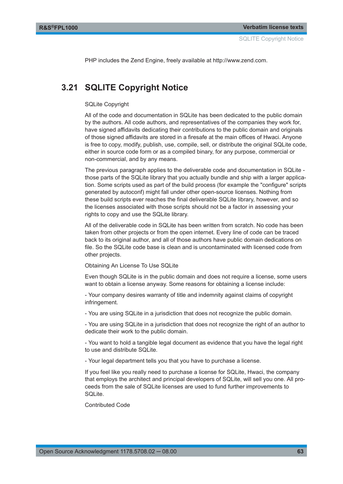<span id="page-62-0"></span>PHP includes the Zend Engine, freely available at http://www.zend.com.

## **3.21 SQLITE Copyright Notice**

SQLite Copyright

All of the code and documentation in SQLite has been dedicated to the public domain by the authors. All code authors, and representatives of the companies they work for, have signed affidavits dedicating their contributions to the public domain and originals of those signed affidavits are stored in a firesafe at the main offices of Hwaci. Anyone is free to copy, modify, publish, use, compile, sell, or distribute the original SQLite code, either in source code form or as a compiled binary, for any purpose, commercial or non-commercial, and by any means.

The previous paragraph applies to the deliverable code and documentation in SQLite those parts of the SQLite library that you actually bundle and ship with a larger application. Some scripts used as part of the build process (for example the "configure" scripts generated by autoconf) might fall under other open-source licenses. Nothing from these build scripts ever reaches the final deliverable SQLite library, however, and so the licenses associated with those scripts should not be a factor in assessing your rights to copy and use the SQLite library.

All of the deliverable code in SQLite has been written from scratch. No code has been taken from other projects or from the open internet. Every line of code can be traced back to its original author, and all of those authors have public domain dedications on file. So the SQLite code base is clean and is uncontaminated with licensed code from other projects.

Obtaining An License To Use SQLite

Even though SQLite is in the public domain and does not require a license, some users want to obtain a license anyway. Some reasons for obtaining a license include:

- Your company desires warranty of title and indemnity against claims of copyright infringement.

- You are using SQLite in a jurisdiction that does not recognize the public domain.

- You are using SQLite in a jurisdiction that does not recognize the right of an author to dedicate their work to the public domain.

- You want to hold a tangible legal document as evidence that you have the legal right to use and distribute SQLite.

- Your legal department tells you that you have to purchase a license.

If you feel like you really need to purchase a license for SQLite, Hwaci, the company that employs the architect and principal developers of SQLite, will sell you one. All proceeds from the sale of SQLite licenses are used to fund further improvements to SQLite.

Contributed Code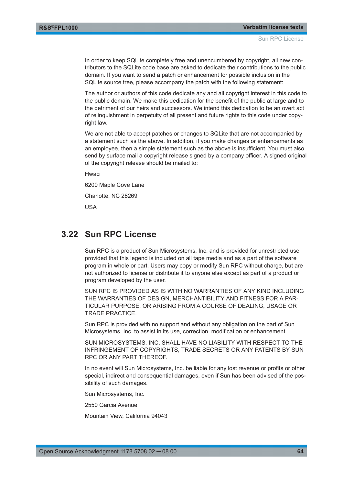<span id="page-63-0"></span>In order to keep SQLite completely free and unencumbered by copyright, all new contributors to the SQLite code base are asked to dedicate their contributions to the public domain. If you want to send a patch or enhancement for possible inclusion in the SQLite source tree, please accompany the patch with the following statement:

The author or authors of this code dedicate any and all copyright interest in this code to the public domain. We make this dedication for the benefit of the public at large and to the detriment of our heirs and successors. We intend this dedication to be an overt act of relinquishment in perpetuity of all present and future rights to this code under copyright law.

We are not able to accept patches or changes to SQLite that are not accompanied by a statement such as the above. In addition, if you make changes or enhancements as an employee, then a simple statement such as the above is insufficient. You must also send by surface mail a copyright release signed by a company officer. A signed original of the copyright release should be mailed to:

**Hwaci** 

6200 Maple Cove Lane

Charlotte, NC 28269

USA

## **3.22 Sun RPC License**

Sun RPC is a product of Sun Microsystems, Inc. and is provided for unrestricted use provided that this legend is included on all tape media and as a part of the software program in whole or part. Users may copy or modify Sun RPC without charge, but are not authorized to license or distribute it to anyone else except as part of a product or program developed by the user.

SUN RPC IS PROVIDED AS IS WITH NO WARRANTIES OF ANY KIND INCLUDING THE WARRANTIES OF DESIGN, MERCHANTIBILITY AND FITNESS FOR A PAR-TICULAR PURPOSE, OR ARISING FROM A COURSE OF DEALING, USAGE OR TRADE PRACTICE.

Sun RPC is provided with no support and without any obligation on the part of Sun Microsystems, Inc. to assist in its use, correction, modification or enhancement.

SUN MICROSYSTEMS, INC. SHALL HAVE NO LIABILITY WITH RESPECT TO THE INFRINGEMENT OF COPYRIGHTS, TRADE SECRETS OR ANY PATENTS BY SUN RPC OR ANY PART THEREOF.

In no event will Sun Microsystems, Inc. be liable for any lost revenue or profits or other special, indirect and consequential damages, even if Sun has been advised of the possibility of such damages.

Sun Microsystems, Inc.

2550 Garcia Avenue

Mountain View, California 94043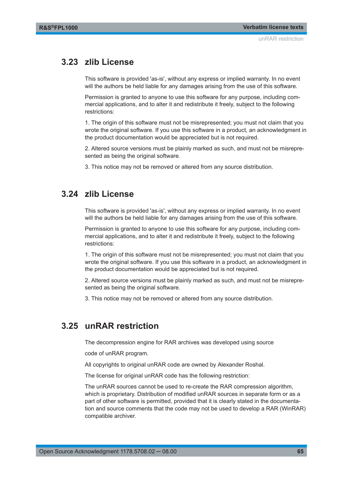## <span id="page-64-0"></span>**3.23 zlib License**

This software is provided 'as-is', without any express or implied warranty. In no event will the authors be held liable for any damages arising from the use of this software.

Permission is granted to anyone to use this software for any purpose, including commercial applications, and to alter it and redistribute it freely, subject to the following restrictions:

1. The origin of this software must not be misrepresented; you must not claim that you wrote the original software. If you use this software in a product, an acknowledgment in the product documentation would be appreciated but is not required.

2. Altered source versions must be plainly marked as such, and must not be misrepresented as being the original software.

3. This notice may not be removed or altered from any source distribution.

## **3.24 zlib License**

This software is provided 'as-is', without any express or implied warranty. In no event will the authors be held liable for any damages arising from the use of this software.

Permission is granted to anyone to use this software for any purpose, including commercial applications, and to alter it and redistribute it freely, subject to the following restrictions:

1. The origin of this software must not be misrepresented; you must not claim that you wrote the original software. If you use this software in a product, an acknowledgment in the product documentation would be appreciated but is not required.

2. Altered source versions must be plainly marked as such, and must not be misrepresented as being the original software.

3. This notice may not be removed or altered from any source distribution.

## **3.25 unRAR restriction**

The decompression engine for RAR archives was developed using source

code of unRAR program.

All copyrights to original unRAR code are owned by Alexander Roshal.

The license for original unRAR code has the following restriction:

The unRAR sources cannot be used to re-create the RAR compression algorithm, which is proprietary. Distribution of modified unRAR sources in separate form or as a part of other software is permitted, provided that it is clearly stated in the documentation and source comments that the code may not be used to develop a RAR (WinRAR) compatible archiver.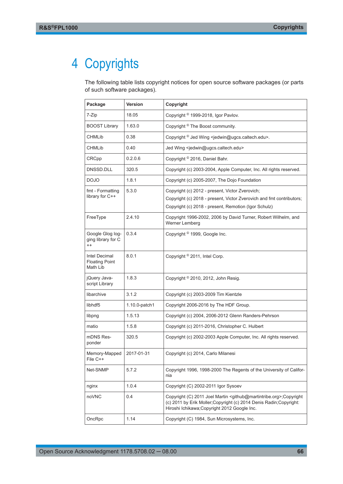## <span id="page-65-0"></span>4 Copyrights

The following table lists copyright notices for open source software packages (or parts of such software packages).

| Package                                            | <b>Version</b> | Copyright                                                                                                                                                                                                           |
|----------------------------------------------------|----------------|---------------------------------------------------------------------------------------------------------------------------------------------------------------------------------------------------------------------|
| 7-Zip                                              | 18.05          | Copyright <sup>©</sup> 1999-2018, Igor Pavlov.                                                                                                                                                                      |
| <b>BOOST Library</b>                               | 1.63.0         | Copyright <sup>©</sup> The Boost community.                                                                                                                                                                         |
| CHMLib                                             | 0.38           | Copyright © Jed Wing <jedwin@ugcs.caltech.edu>.</jedwin@ugcs.caltech.edu>                                                                                                                                           |
| <b>CHMLib</b>                                      | 0.40           | Jed Wing <jedwin@ugcs.caltech.edu></jedwin@ugcs.caltech.edu>                                                                                                                                                        |
| <b>CRCpp</b>                                       | 0.2.0.6        | Copyright <sup>©</sup> 2016, Daniel Bahr.                                                                                                                                                                           |
| DNSSD.DLL                                          | 320.5          | Copyright (c) 2003-2004, Apple Computer, Inc. All rights reserved.                                                                                                                                                  |
| <b>DOJO</b>                                        | 1.8.1          | Copyright (c) 2005-2007, The Dojo Foundation                                                                                                                                                                        |
| fmt - Formatting<br>library for C++                | 5.3.0          | Copyright (c) 2012 - present, Victor Zverovich;<br>Copyright (c) 2018 - present, Victor Zverovich and fmt contributors;<br>Copyright (c) 2018 - present, Remotion (Igor Schulz)                                     |
| FreeType                                           | 2.4.10         | Copyright 1996-2002, 2006 by David Turner, Robert Wilhelm, and<br>Werner Lemberg                                                                                                                                    |
| Google Glog log-<br>ging library for C<br>$^{++}$  | 0.3.4          | Copyright <sup>©</sup> 1999, Google Inc.                                                                                                                                                                            |
| Intel Decimal<br><b>Floating Point</b><br>Math Lib | 8.0.1          | Copyright <sup>©</sup> 2011, Intel Corp.                                                                                                                                                                            |
| jQuery Java-<br>script Library                     | 1.8.3          | Copyright <sup>©</sup> 2010, 2012, John Resig.                                                                                                                                                                      |
| libarchive                                         | 3.1.2          | Copyright (c) 2003-2009 Tim Kientzle                                                                                                                                                                                |
| libhdf5                                            | 1.10.0-patch1  | Copyright 2006-2016 by The HDF Group.                                                                                                                                                                               |
| libpng                                             | 1.5.13         | Copyright (c) 2004, 2006-2012 Glenn Randers-Pehrson                                                                                                                                                                 |
| matio                                              | 1.5.8          | Copyright (c) 2011-2016, Christopher C. Hulbert                                                                                                                                                                     |
| mDNS Res-<br>ponder                                | 320.5          | Copyright (c) 2002-2003 Apple Computer, Inc. All rights reserved.                                                                                                                                                   |
| Memory-Mapped<br>File C++                          | 2017-01-31     | Copyright (c) 2014, Carlo Milanesi                                                                                                                                                                                  |
| Net-SNMP                                           | 5.7.2          | Copyright 1996, 1998-2000 The Regents of the University of Califor-<br>nia                                                                                                                                          |
| nginx                                              | 1.0.4          | Copyright (C) 2002-2011 Igor Sysoev                                                                                                                                                                                 |
| noVNC                                              | 0.4            | Copyright (C) 2011 Joel Martin <github@martintribe.org>;Copyright<br/>(c) 2011 by Erik Moller; Copyright (c) 2014 Denis Radin; Copyright:<br/>Hiroshi Ichikawa; Copyright 2012 Google Inc.</github@martintribe.org> |
| OncRpc                                             | 1.14           | Copyright (C) 1984, Sun Microsystems, Inc.                                                                                                                                                                          |